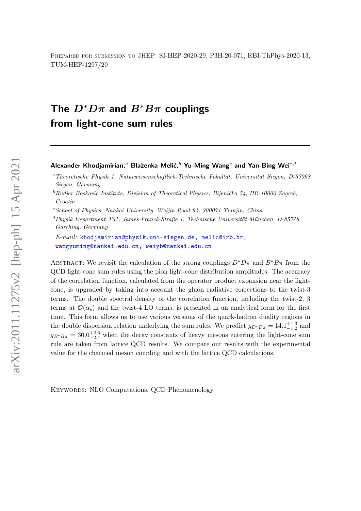Prepared for submission to JHEP SI-HEP-2020-29, P3H-20-071, RBI-ThPhys-2020-13, TUM-HEP-1297/20

# The  $D^*D\pi$  and  $B^*B\pi$  couplings from light-cone sum rules

Alexander Khodjamirian,<sup>a</sup> Blaženka Melić,<sup>b</sup> Yu-Ming Wang<sup>c</sup> and Yan-Bing Wei<sup>c,d</sup>

 $c$ School of Physics, Nankai University, Weijin Road 94, 300071 Tianjin, China

 $dPhysik Department T31, James-Franck-Straf (e. 1, Technische Universität München, D-85748)$ Garching, Germany

E-mail: [khodjamirian@physik.uni-siegen.de, melic@irb.hr,](mailto:khodjamirian@physik.uni-siegen.de, melic@irb.hr, wangyuming@nankai.edu.cn, weiyb@nankai.edu.cn) [wangyuming@nankai.edu.cn, weiyb@nankai.edu.cn](mailto:khodjamirian@physik.uni-siegen.de, melic@irb.hr, wangyuming@nankai.edu.cn, weiyb@nankai.edu.cn)

ABSTRACT: We revisit the calculation of the strong couplings  $D^*D\pi$  and  $B^*B\pi$  from the QCD light-cone sum rules using the pion light-cone distribution amplitudes. The accuracy of the correlation function, calculated from the operator product expansion near the lightcone, is upgraded by taking into account the gluon radiative corrections to the twist-3 terms. The double spectral density of the correlation function, including the twist-2, 3 terms at  $\mathcal{O}(\alpha_s)$  and the twist-4 LO terms, is presented in an analytical form for the first time. This form allows us to use various versions of the quark-hadron duality regions in the double dispersion relation underlying the sum rules. We predict  $g_{D^*D\pi} = 14.1^{+1.3}_{-1.2}$  and  $g_{B^*B\pi} = 30.0_{-2.4}^{+2.6}$  when the decay constants of heavy mesons entering the light-cone sum rule are taken from lattice QCD results. We compare our results with the experimental value for the charmed meson coupling and with the lattice QCD calculations.

KEYWORDS: NLO Computations, OCD Phenomenology

 $a$ Theoretische Physik 1, Naturwissenschaftlich-Technische Fakultät, Universität Siegen, D-57068 Siegen, Germany

 ${}^bRudjer$  Boskovic Institute, Division of Theoretical Physics, Bijenička 54, HR-10000 Zagreb, Croatia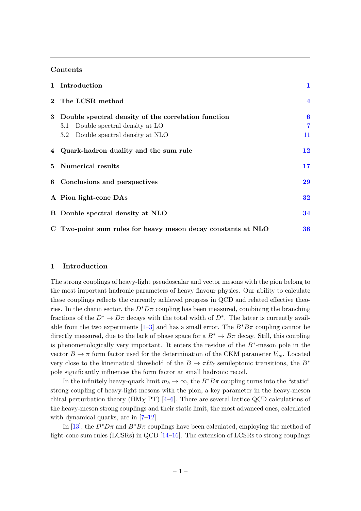#### Contents

|             | 1 Introduction                                                                                                                    | 1                         |
|-------------|-----------------------------------------------------------------------------------------------------------------------------------|---------------------------|
| $2^{\circ}$ | The LCSR method                                                                                                                   | $\overline{\mathbf{4}}$   |
| 3           | Double spectral density of the correlation function<br>Double spectral density at LO<br>3.1<br>3.2 Double spectral density at NLO | 6<br>$\overline{7}$<br>11 |
|             | 4 Quark-hadron duality and the sum rule                                                                                           | 12                        |
|             | 5 Numerical results                                                                                                               | 17                        |
|             | 6 Conclusions and perspectives                                                                                                    | 29                        |
|             | A Pion light-cone DAs                                                                                                             | 32                        |
|             | B Double spectral density at NLO                                                                                                  | 34                        |
|             | C Two-point sum rules for heavy meson decay constants at NLO                                                                      | 36                        |
|             |                                                                                                                                   |                           |

#### <span id="page-1-0"></span>1 Introduction

The strong couplings of heavy-light pseudoscalar and vector mesons with the pion belong to the most important hadronic parameters of heavy flavour physics. Our ability to calculate these couplings reflects the currently achieved progress in QCD and related effective theories. In the charm sector, the  $D^*D\pi$  coupling has been measured, combining the branching fractions of the  $D^* \to D\pi$  decays with the total width of  $D^*$ . The latter is currently available from the two experiments  $[1-3]$  and has a small error. The  $B^*B\pi$  coupling cannot be directly measured, due to the lack of phase space for a  $B^* \to B\pi$  decay. Still, this coupling is phenomenologically very important. It enters the residue of the  $B^*$ -meson pole in the vector  $B \to \pi$  form factor used for the determination of the CKM parameter  $V_{ub}$ . Located very close to the kinematical threshold of the  $B \to \pi \ell \bar{\nu}_{\ell}$  semileptonic transitions, the  $B^*$ pole significantly influences the form factor at small hadronic recoil.

In the infinitely heavy-quark limit  $m_b \to \infty$ , the  $B^*B\pi$  coupling turns into the "static" strong coupling of heavy-light mesons with the pion, a key parameter in the heavy-meson chiral perturbation theory (HM<sub>X</sub> PT) [\[4](#page-38-2)[–6\]](#page-38-3). There are several lattice QCD calculations of the heavy-meson strong couplings and their static limit, the most advanced ones, calculated with dynamical quarks, are in [\[7–](#page-38-4)[12\]](#page-38-5).

In [\[13\]](#page-39-0), the  $D^*D\pi$  and  $B^*B\pi$  couplings have been calculated, employing the method of light-cone sum rules (LCSRs) in QCD [\[14–](#page-39-1)[16\]](#page-39-2). The extension of LCSRs to strong couplings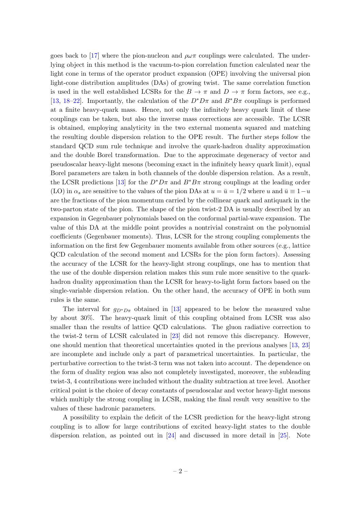goes back to [\[17\]](#page-39-3) where the pion-nucleon and  $\rho\omega\pi$  couplings were calculated. The underlying object in this method is the vacuum-to-pion correlation function calculated near the light cone in terms of the operator product expansion (OPE) involving the universal pion light-cone distribution amplitudes (DAs) of growing twist. The same correlation function is used in the well established LCSRs for the  $B \to \pi$  and  $D \to \pi$  form factors, see e.g., [\[13,](#page-39-0) [18](#page-39-4)[–22\]](#page-39-5). Importantly, the calculation of the  $D^*D\pi$  and  $B^*B\pi$  couplings is performed at a finite heavy-quark mass. Hence, not only the infinitely heavy quark limit of these couplings can be taken, but also the inverse mass corrections are accessible. The LCSR is obtained, employing analyticity in the two external momenta squared and matching the resulting double dispersion relation to the OPE result. The further steps follow the standard QCD sum rule technique and involve the quark-hadron duality approximation and the double Borel transformation. Due to the approximate degeneracy of vector and pseudoscalar heavy-light mesons (becoming exact in the infinitely heavy quark limit), equal Borel parameters are taken in both channels of the double dispersion relation. As a result, the LCSR predictions [\[13\]](#page-39-0) for the  $D^*D\pi$  and  $B^*B\pi$  strong couplings at the leading order (LO) in  $\alpha_s$  are sensitive to the values of the pion DAs at  $u = \bar{u} = 1/2$  where u and  $\bar{u} \equiv 1-u$ are the fractions of the pion momentum carried by the collinear quark and antiquark in the two-parton state of the pion. The shape of the pion twist-2 DA is usually described by an expansion in Gegenbauer polynomials based on the conformal partial-wave expansion. The value of this DA at the middle point provides a nontrivial constraint on the polynomial coefficients (Gegenbauer moments). Thus, LCSR for the strong coupling complements the information on the first few Gegenbauer moments available from other sources (e.g., lattice QCD calculation of the second moment and LCSRs for the pion form factors). Assessing the accuracy of the LCSR for the heavy-light strong couplings, one has to mention that the use of the double dispersion relation makes this sum rule more sensitive to the quarkhadron duality approximation than the LCSR for heavy-to-light form factors based on the single-variable dispersion relation. On the other hand, the accuracy of OPE in both sum rules is the same.

The interval for  $g_{D^*D\pi}$  obtained in [\[13\]](#page-39-0) appeared to be below the measured value by about 30%. The heavy-quark limit of this coupling obtained from LCSR was also smaller than the results of lattice QCD calculations. The gluon radiative correction to the twist-2 term of LCSR calculated in [\[23\]](#page-39-6) did not remove this discrepancy. However, one should mention that theoretical uncertainties quoted in the previous analyses [\[13,](#page-39-0) [23\]](#page-39-6) are incomplete and include only a part of parametrical uncertainties. In particular, the perturbative correction to the twist-3 term was not taken into account. The dependence on the form of duality region was also not completely investigated, moreover, the subleading twist-3, 4 contributions were included without the duality subtraction at tree level. Another critical point is the choice of decay constants of pseudoscalar and vector heavy-light mesons which multiply the strong coupling in LCSR, making the final result very sensitive to the values of these hadronic parameters.

A possibility to explain the deficit of the LCSR prediction for the heavy-light strong coupling is to allow for large contributions of excited heavy-light states to the double dispersion relation, as pointed out in [\[24\]](#page-39-7) and discussed in more detail in [\[25\]](#page-39-8). Note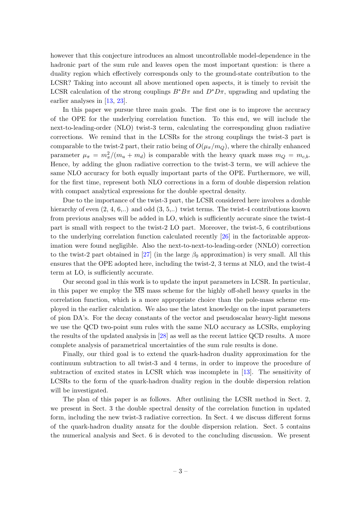however that this conjecture introduces an almost uncontrollable model-dependence in the hadronic part of the sum rule and leaves open the most important question: is there a duality region which effectively corresponds only to the ground-state contribution to the LCSR? Taking into account all above mentioned open aspects, it is timely to revisit the LCSR calculation of the strong couplings  $B^*B\pi$  and  $D^*D\pi$ , upgrading and updating the earlier analyses in [\[13,](#page-39-0) [23\]](#page-39-6).

In this paper we pursue three main goals. The first one is to improve the accuracy of the OPE for the underlying correlation function. To this end, we will include the next-to-leading-order (NLO) twist-3 term, calculating the corresponding gluon radiative corrections. We remind that in the LCSRs for the strong couplings the twist-3 part is comparable to the twist-2 part, their ratio being of  $O(\mu_\pi/m_Q)$ , where the chirally enhanced parameter  $\mu_{\pi} = m_{\pi}^2/(m_u + m_d)$  is comparable with the heavy quark mass  $m_Q = m_{c,b}$ . Hence, by adding the gluon radiative correction to the twist-3 term, we will achieve the same NLO accuracy for both equally important parts of the OPE. Furthermore, we will, for the first time, represent both NLO corrections in a form of double dispersion relation with compact analytical expressions for the double spectral density.

Due to the importance of the twist-3 part, the LCSR considered here involves a double hierarchy of even  $(2, 4, 6, ...)$  and odd  $(3, 5, ...)$  twist terms. The twist-4 contributions known from previous analyses will be added in LO, which is sufficiently accurate since the twist-4 part is small with respect to the twist-2 LO part. Moreover, the twist-5, 6 contributions to the underlying correlation function calculated recently [\[26\]](#page-39-9) in the factorizable approximation were found negligible. Also the next-to-next-to-leading-order (NNLO) correction to the twist-2 part obtained in [\[27\]](#page-39-10) (in the large  $\beta_0$  approximation) is very small. All this ensures that the OPE adopted here, including the twist-2, 3 terms at NLO, and the twist-4 term at LO, is sufficiently accurate.

Our second goal in this work is to update the input parameters in LCSR. In particular, in this paper we employ the  $\overline{\text{MS}}$  mass scheme for the highly off-shell heavy quarks in the correlation function, which is a more appropriate choice than the pole-mass scheme employed in the earlier calculation. We also use the latest knowledge on the input parameters of pion DA's. For the decay constants of the vector and pseudoscalar heavy-light mesons we use the QCD two-point sum rules with the same NLO accuracy as LCSRs, employing the results of the updated analysis in [\[28\]](#page-39-11) as well as the recent lattice QCD results. A more complete analysis of parametrical uncertainties of the sum rule results is done.

Finally, our third goal is to extend the quark-hadron duality approximation for the continuum subtraction to all twist-3 and 4 terms, in order to improve the procedure of subtraction of excited states in LCSR which was incomplete in [\[13\]](#page-39-0). The sensitivity of LCSRs to the form of the quark-hadron duality region in the double dispersion relation will be investigated.

The plan of this paper is as follows. After outlining the LCSR method in Sect. 2, we present in Sect. 3 the double spectral density of the correlation function in updated form, including the new twist-3 radiative correction. In Sect. 4 we discuss different forms of the quark-hadron duality ansatz for the double dispersion relation. Sect. 5 contains the numerical analysis and Sect. 6 is devoted to the concluding discussion. We present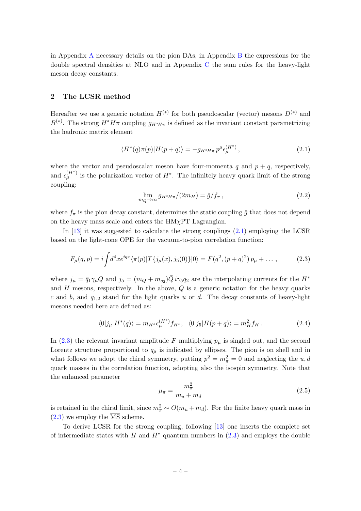in Appendix [A](#page-32-0) necessary details on the pion DAs, in Appendix [B](#page-34-0) the expressions for the double spectral densities at NLO and in Appendix [C](#page-36-0) the sum rules for the heavy-light meson decay constants.

## <span id="page-4-0"></span>2 The LCSR method

Hereafter we use a generic notation  $H^{(*)}$  for both pseudoscalar (vector) mesons  $D^{(*)}$  and  $B^{(*)}$ . The strong  $H^*H\pi$  coupling  $g_{H^*H\pi}$  is defined as the invariant constant parametrizing the hadronic matrix element

<span id="page-4-1"></span>
$$
\langle H^*(q)\pi(p)|H(p+q)\rangle = -g_{H^*H\pi}p^{\mu}\epsilon_{\mu}^{(H^*)},\qquad(2.1)
$$

where the vector and pseudoscalar meson have four-momenta  $q$  and  $p + q$ , respectively, and  $\epsilon_{\mu}^{(H^*)}$  is the polarization vector of  $H^*$ . The infinitely heavy quark limit of the strong coupling:

<span id="page-4-4"></span>
$$
\lim_{m_Q \to \infty} g_{H^*H\pi}/(2m_H) = \hat{g}/f_\pi, \qquad (2.2)
$$

where  $f_{\pi}$  is the pion decay constant, determines the static coupling  $\hat{g}$  that does not depend on the heavy mass scale and enters the  $HM<sub>X</sub>PT$  Lagrangian.

In [\[13\]](#page-39-0) it was suggested to calculate the strong couplings (2.[1\)](#page-4-1) employing the LCSR based on the light-cone OPE for the vacuum-to-pion correlation function:

<span id="page-4-2"></span>
$$
F_{\mu}(q, p) = i \int d^4x e^{iqx} \langle \pi(p)|T\{j_{\mu}(x), j_5(0)\}|0\rangle = F(q^2, (p+q)^2) p_{\mu} + \dots,
$$
 (2.3)

where  $j_{\mu} = \bar{q}_1 \gamma_{\mu} Q$  and  $j_5 = (m_Q + m_{q_2}) \bar{Q} i \gamma_5 q_2$  are the interpolating currents for the  $H^*$ and  $H$  mesons, respectively. In the above,  $Q$  is a generic notation for the heavy quarks c and b, and  $q_{1,2}$  stand for the light quarks u or d. The decay constants of heavy-light mesons needed here are defined as:

$$
\langle 0|j_{\mu}|H^*(q)\rangle = m_{H^*}\epsilon_{\mu}^{(H^*)}f_{H^*}, \quad \langle 0|j_5|H(p+q)\rangle = m_H^2f_H.
$$
 (2.4)

In [\(2.3\)](#page-4-2) the relevant invariant amplitude F multiplying  $p_{\mu}$  is singled out, and the second Lorentz structure proportional to  $q_{\mu}$  is indicated by ellipses. The pion is on shell and in what follows we adopt the chiral symmetry, putting  $p^2 = m_{\pi}^2 = 0$  and neglecting the u, d quark masses in the correlation function, adopting also the isospin symmetry. Note that the enhanced parameter

<span id="page-4-3"></span>
$$
\mu_{\pi} = \frac{m_{\pi}^2}{m_u + m_d} \tag{2.5}
$$

is retained in the chiral limit, since  $m_{\pi}^2 \sim O(m_u + m_d)$ . For the finite heavy quark mass in  $(2.3)$  we employ the  $\overline{\text{MS}}$  scheme.

To derive LCSR for the strong coupling, following [\[13\]](#page-39-0) one inserts the complete set of intermediate states with H and  $H^*$  quantum numbers in [\(2.3\)](#page-4-2) and employs the double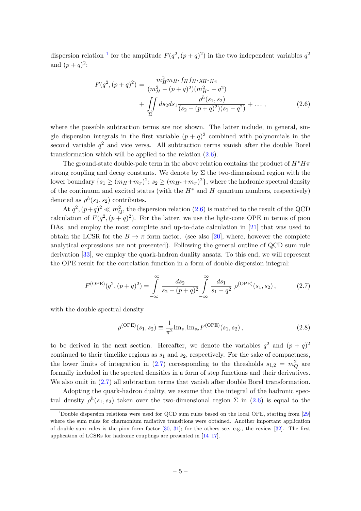dispersion relation <sup>[1](#page-5-0)</sup> for the amplitude  $F(q^2,(p+q)^2)$  in the two independent variables  $q^2$ and  $(p+q)^2$ :

<span id="page-5-1"></span>
$$
F(q^2, (p+q)^2) = \frac{m_H^2 m_{H^*} f_H f_{H^*} g_{H^*H\pi}}{(m_H^2 - (p+q)^2)(m_{H^*}^2 - q^2)} + \iint\limits_{\Sigma} ds_2 ds_1 \frac{\rho^h(s_1, s_2)}{(s_2 - (p+q)^2)(s_1 - q^2)} + \dots,
$$
\n(2.6)

where the possible subtraction terms are not shown. The latter include, in general, single dispersion integrals in the first variable  $(p+q)^2$  combined with polynomials in the second variable  $q^2$  and vice versa. All subtraction terms vanish after the double Borel transformation which will be applied to the relation [\(2.6\)](#page-5-1).

The ground-state double-pole term in the above relation contains the product of  $H^*H\pi$ strong coupling and decay constants. We denote by  $\Sigma$  the two-dimensional region with the lower boundary  $\{s_1 \geq (m_H + m_\pi)^2; s_2 \geq (m_{H^*} + m_\pi)^2\}$ , where the hadronic spectral density of the continuum and excited states (with the  $H^*$  and H quantum numbers, respectively) denoted as  $\rho^h(s_1, s_2)$  contributes.

At  $q^2$ ,  $(p+q)^2 \ll m_Q^2$ , the dispersion relation [\(2.6\)](#page-5-1) is matched to the result of the QCD calculation of  $F(q^2, (p+q)^2)$ . For the latter, we use the light-cone OPE in terms of pion DAs, and employ the most complete and up-to-date calculation in [\[21\]](#page-39-12) that was used to obtain the LCSR for the  $B \to \pi$  form factor. (see also [\[20\]](#page-39-13), where, however the complete analytical expressions are not presented). Following the general outline of QCD sum rule derivation [\[33\]](#page-40-0), we employ the quark-hadron duality ansatz. To this end, we will represent the OPE result for the correlation function in a form of double dispersion integral:

$$
F^{(\text{OPE})}(q^2, (p+q)^2) = \int_{-\infty}^{\infty} \frac{ds_2}{s_2 - (p+q)^2} \int_{-\infty}^{\infty} \frac{ds_1}{s_1 - q^2} \rho^{(\text{OPE})}(s_1, s_2), \tag{2.7}
$$

with the double spectral density

<span id="page-5-3"></span><span id="page-5-2"></span>
$$
\rho^{\text{(OPE)}}(s_1, s_2) \equiv \frac{1}{\pi^2} \text{Im}_{s_1} \text{Im}_{s_2} F^{\text{(OPE)}}(s_1, s_2), \tag{2.8}
$$

to be derived in the next section. Hereafter, we denote the variables  $q^2$  and  $(p+q)^2$ continued to their timelike regions as  $s_1$  and  $s_2$ , respectively. For the sake of compactness, the lower limits of integration in [\(2.7\)](#page-5-2) corresponding to the thresholds  $s_{1,2} = m_Q^2$  are formally included in the spectral densities in a form of step functions and their derivatives. We also omit in  $(2.7)$  all subtraction terms that vanish after double Borel transformation.

Adopting the quark-hadron duality, we assume that the integral of the hadronic spectral density  $\rho^h(s_1, s_2)$  taken over the two-dimensional region  $\Sigma$  in  $(2.6)$  is equal to the

<span id="page-5-0"></span><sup>1</sup>Double dispersion relations were used for QCD sum rules based on the local OPE, starting from [\[29\]](#page-39-14) where the sum rules for charmonium radiative transitions were obtained. Another important application of double sum rules is the pion form factor  $[30, 31]$  $[30, 31]$ ; for the others see, e.g., the review  $[32]$ . The first application of LCSRs for hadronic couplings are presented in [\[14–](#page-39-1)[17\]](#page-39-3).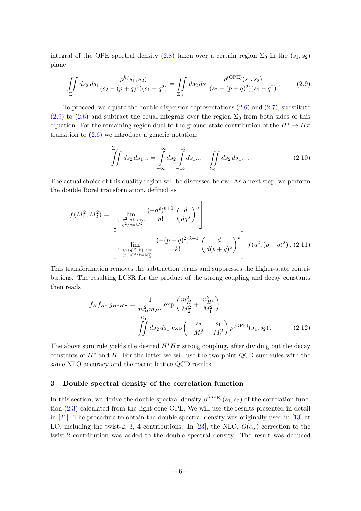integral of the OPE spectral density [\(2.8\)](#page-5-3) taken over a certain region  $\Sigma_0$  in the  $(s_1, s_2)$ plane

$$
\iint\limits_{\Sigma} ds_2 ds_1 \frac{\rho^h(s_1, s_2)}{(s_2 - (p+q)^2)(s_1 - q^2)} = \iint\limits_{\Sigma_0} ds_2 ds_1 \frac{\rho^{\text{(OPE)}}(s_1, s_2)}{(s_2 - (p+q)^2)(s_1 - q^2)}.
$$
 (2.9)

To proceed, we equate the double dispersion representations  $(2.6)$  and  $(2.7)$ , substitute [\(2.9\)](#page-6-1) to [\(2.6\)](#page-5-1) and subtract the equal integrals over the region  $\Sigma_0$  from both sides of this equation. For the remaining region dual to the ground-state contribution of the  $H^* \to H\pi$ transition to  $(2.6)$  we introduce a generic notation:

<span id="page-6-1"></span>
$$
\iint\limits_{-\infty}^{S_0} ds_2 ds_1 \dots = \int\limits_{-\infty}^{\infty} ds_2 \int\limits_{-\infty}^{\infty} ds_1 \dots - \iint\limits_{\Sigma_0} ds_2 ds_1 \dots. \tag{2.10}
$$

The actual choice of this duality region will be discussed below. As a next step, we perform the double Borel transformation, defined as

$$
f(M_1^2, M_2^2) = \left[ \lim_{\substack{\{-q^2, n\} \to \infty, \\ -q^2/n = M_1^2}} \frac{(-q^2)^{n+1}}{n!} \left(\frac{d}{dq^2}\right)^n \right]
$$

$$
\left[ \lim_{\substack{\{-p+q\}^2, k\} \to \infty, \\ -\frac{(p+q)^2}{k!}} \frac{(-p+q)^2}{k!} \left(\frac{d}{d(p+q)^2}\right)^k \right] f(q^2, (p+q)^2). (2.11)
$$

This transformation removes the subtraction terms and suppresses the higher-state contributions. The resulting LCSR for the product of the strong coupling and decay constants then reads

<span id="page-6-2"></span>
$$
f_H f_{H^*} g_{H^* H \pi} = \frac{1}{m_H^2 m_{H^*}} \exp\left(\frac{m_H^2}{M_2^2} + \frac{m_{H^*}^2}{M_1^2}\right) \times \iint ds_2 ds_1 \exp\left(-\frac{s_2}{M_2^2} - \frac{s_1}{M_1^2}\right) \rho^{(\text{OPE})}(s_1, s_2).
$$
 (2.12)

The above sum rule yields the desired  $H^*H\pi$  strong coupling, after dividing out the decay constants of  $H^*$  and H. For the latter we will use the two-point QCD sum rules with the same NLO accuracy and the recent lattice QCD results.

#### <span id="page-6-0"></span>3 Double spectral density of the correlation function

In this section, we derive the double spectral density  $\rho^{\text{(OPE)}}(s_1, s_2)$  of the correlation function [\(2.3\)](#page-4-2) calculated from the light-cone OPE. We will use the results presented in detail in [\[21\]](#page-39-12). The procedure to obtain the double spectral density was originally used in [\[13\]](#page-39-0) at LO, including the twist-2, 3, 4 contributions. In [\[23\]](#page-39-6), the NLO,  $O(\alpha_s)$  correction to the twist-2 contribution was added to the double spectral density. The result was deduced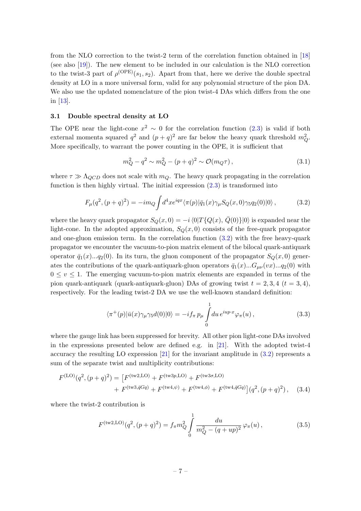from the NLO correction to the twist-2 term of the correlation function obtained in [\[18\]](#page-39-4) (see also [\[19\]](#page-39-16)). The new element to be included in our calculation is the NLO correction to the twist-3 part of  $\rho^{\text{(OPE)}}(s_1, s_2)$ . Apart from that, here we derive the double spectral density at LO in a more universal form, valid for any polynomial structure of the pion DA. We also use the updated nomenclature of the pion twist-4 DAs which differs from the one in [\[13\]](#page-39-0).

## <span id="page-7-0"></span>3.1 Double spectral density at LO

The OPE near the light-cone  $x^2 \sim 0$  for the correlation function [\(2.3\)](#page-4-2) is valid if both external momenta squared  $q^2$  and  $(p+q)^2$  are far below the heavy quark threshold  $m_Q^2$ . More specifically, to warrant the power counting in the OPE, it is sufficient that

$$
m_Q^2 - q^2 \sim m_Q^2 - (p+q)^2 \sim \mathcal{O}(m_Q \tau), \qquad (3.1)
$$

where  $\tau \gg \Lambda_{QCD}$  does not scale with  $m_Q$ . The heavy quark propagating in the correlation function is then highly virtual. The initial expression  $(2.3)$  is transformed into

<span id="page-7-1"></span>
$$
F_{\mu}(q^2,(p+q)^2) = -im_Q \int d^4x e^{iqx} \langle \pi(p)|\bar{q}_1(x)\gamma_{\mu}S_Q(x,0)\gamma_5q_2(0)|0\rangle, \qquad (3.2)
$$

where the heavy quark propagator  $S_Q(x, 0) = -i\langle 0|T\{Q(x), \overline{Q}(0)\}|0\rangle$  is expanded near the light-cone. In the adopted approximation,  $S_Q(x, 0)$  consists of the free-quark propagator and one-gluon emission term. In the correlation function [\(3.2\)](#page-7-1) with the free heavy-quark propagator we encounter the vacuum-to-pion matrix element of the bilocal quark-antiquark operator  $\bar{q}_1(x) \dots q_2(0)$ . In its turn, the gluon component of the propagator  $S_Q(x, 0)$  generates the contributions of the quark-antiquark-gluon operators  $\bar{q}_1(x)...G_{\mu\nu}(vx)...q_2(0)$  with  $0 \le v \le 1$ . The emerging vacuum-to-pion matrix elements are expanded in terms of the pion quark-antiquark (quark-antiquark-gluon) DAs of growing twist  $t = 2, 3, 4$  ( $t = 3, 4$ ), respectively. For the leading twist-2 DA we use the well-known standard definition:

<span id="page-7-4"></span>
$$
\langle \pi^+(p)|\bar{u}(x)\gamma_\mu\gamma_5 d(0)|0\rangle = -if_\pi p_\mu \int_0^1 du \, e^{iup\cdot x} \varphi_\pi(u) , \qquad (3.3)
$$

where the gauge link has been suppressed for brevity. All other pion light-cone DAs involved in the expressions presented below are defined e.g. in [\[21\]](#page-39-12). With the adopted twist-4 accuracy the resulting LO expression [\[21\]](#page-39-12) for the invariant amplitude in [\(3.2\)](#page-7-1) represents a sum of the separate twist and multiplicity contributions:

$$
F^{(\text{LO})}(q^2, (p+q)^2) = \left[ F^{(\text{tw2}, \text{LO})} + F^{(\text{tw3}, p, \text{LO})} + F^{(\text{tw3}, \sigma, \text{LO})} + F^{(\text{tw3}, \bar{q}Gq)} + F^{(\text{tw4}, \psi)} + F^{(\text{tw4}, \phi)} + F^{(\text{tw4}, \bar{q}Gq)} \right] (q^2, (p+q)^2), \quad (3.4)
$$

where the twist-2 contribution is

<span id="page-7-3"></span><span id="page-7-2"></span>
$$
F^{(\text{tw2,LO})}(q^2, (p+q)^2) = f_{\pi} m_Q^2 \int_0^1 \frac{du}{m_Q^2 - (q+up)^2} \varphi_{\pi}(u) , \qquad (3.5)
$$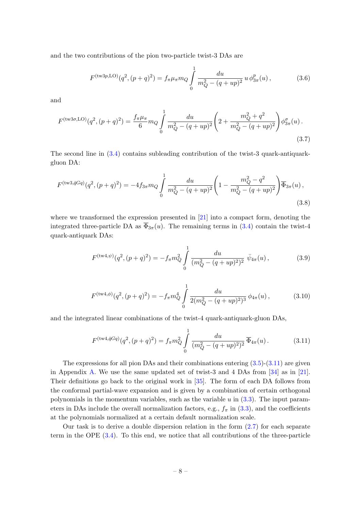and the two contributions of the pion two-particle twist-3 DAs are

$$
F^{(\text{tw3p},\text{LO})}(q^2,(p+q)^2) = f_{\pi}\mu_{\pi}m_Q \int_0^1 \frac{du}{m_Q^2 - (q+up)^2} u \phi_{3\pi}^p(u), \qquad (3.6)
$$

and

$$
F^{(\text{tw3}\sigma,\text{LO})}(q^2,(p+q)^2) = \frac{f_\pi \mu_\pi}{6} m_Q \int_0^1 \frac{du}{m_Q^2 - (q+up)^2} \left(2 + \frac{m_Q^2 + q^2}{m_Q^2 - (q+up)^2}\right) \phi_{3\pi}^\sigma(u) \,. \tag{3.7}
$$

The second line in [\(3.4\)](#page-7-2) contains subleading contribution of the twist-3 quark-antiquarkgluon DA:

$$
F^{(\text{tw3},\bar{q}Gq)}(q^2,(p+q)^2) = -4f_{3\pi}m_Q \int_0^1 \frac{du}{m_Q^2 - (q+up)^2} \left(1 - \frac{m_Q^2 - q^2}{m_Q^2 - (q+up)^2}\right) \overline{\Phi}_{3\pi}(u) ,\tag{3.8}
$$

where we transformed the expression presented in [\[21\]](#page-39-12) into a compact form, denoting the integrated three-particle DA as  $\overline{\Phi}_{3\pi}(u)$ . The remaining terms in [\(3.4\)](#page-7-2) contain the twist-4 quark-antiquark DAs:

<span id="page-8-3"></span><span id="page-8-2"></span>
$$
F^{(\text{tw4}, \psi)}(q^2, (p+q)^2) = -f_{\pi} m_Q^2 \int_0^1 \frac{du}{(m_Q^2 - (q+up)^2)^2} \, \bar{\psi}_{4\pi}(u) \,, \tag{3.9}
$$

<span id="page-8-1"></span>
$$
F^{(\text{tw4}, \phi)}(q^2, (p+q)^2) = -f_\pi m_Q^4 \int_0^1 \frac{du}{2(m_Q^2 - (q+up)^2)^3} \phi_{4\pi}(u) ,\qquad (3.10)
$$

and the integrated linear combinations of the twist-4 quark-antiquark-gluon DAs,

<span id="page-8-0"></span>
$$
F^{(\text{tw4},\bar{q}Gq)}(q^2,(p+q)^2) = f_{\pi}m_Q^2 \int_0^1 \frac{du}{(m_Q^2 - (q+up)^2)^2} \overline{\Phi}_{4\pi}(u). \tag{3.11}
$$

The expressions for all pion DAs and their combinations entering  $(3.5)-(3.11)$  $(3.5)-(3.11)$  are given in Appendix [A.](#page-32-0) We use the same updated set of twist-3 and 4 DAs from [\[34\]](#page-40-3) as in [\[21\]](#page-39-12). Their definitions go back to the original work in [\[35\]](#page-40-4). The form of each DA follows from the conformal partial-wave expansion and is given by a combination of certain orthogonal polynomials in the momentum variables, such as the variable  $u$  in  $(3.3)$ . The input parameters in DAs include the overall normalization factors, e.g.,  $f_{\pi}$  in [\(3.3\)](#page-7-4), and the coefficients at the polynomials normalized at a certain default normalization scale.

Our task is to derive a double dispersion relation in the form  $(2.7)$  for each separate term in the OPE [\(3.4\)](#page-7-2). To this end, we notice that all contributions of the three-particle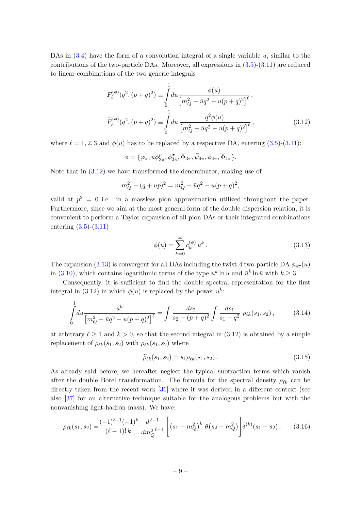DAs in  $(3.4)$  have the form of a convolution integral of a single variable u, similar to the contributions of the two-particle DAs. Moreover, all expressions in  $(3.5)-(3.11)$  $(3.5)-(3.11)$  are reduced to linear combinations of the two generic integrals

$$
F_{\ell}^{(\phi)}(q^2, (p+q)^2) \equiv \int_0^1 du \frac{\phi(u)}{\left[m_Q^2 - \bar{u}q^2 - u(p+q)^2\right]^{\ell}},
$$
  

$$
\widetilde{F}_{\ell}^{(\phi)}(q^2, (p+q)^2) \equiv \int_0^1 du \frac{q^2 \phi(u)}{\left[m_Q^2 - \bar{u}q^2 - u(p+q)^2\right]^{\ell}},
$$
(3.12)

where  $\ell = 1, 2, 3$  and  $\phi(u)$  has to be replaced by a respective DA, entering [\(3.5\)](#page-7-3)-[\(3.11\)](#page-8-0):

<span id="page-9-0"></span>
$$
\phi = \{\varphi_{\pi}, u\phi_{3\pi}^p, \phi_{3\pi}^{\sigma}, \overline{\Phi}_{3\pi}, \overline{\psi}_{4\pi}, \phi_{4\pi}, \overline{\Phi}_{4\pi}\}.
$$

Note that in  $(3.12)$  we have transformed the denominator, making use of

$$
m_Q^2 - (q + up)^2 = m_Q^2 - \bar{u}q^2 - u(p+q)^2,
$$

valid at  $p^2 = 0$  i.e. in a massless pion approximation utilized throughout the paper. Furthermore, since we aim at the most general form of the double dispersion relation, it is convenient to perform a Taylor expansion of all pion DAs or their integrated combinations entering [\(3.5\)](#page-7-3)-[\(3.11\)](#page-8-0)

<span id="page-9-1"></span>
$$
\phi(u) = \sum_{k=0}^{\infty} c_k^{(\phi)} u^k.
$$
\n(3.13)

The expansion [\(3.13\)](#page-9-1) is convergent for all DAs including the twist-4 two-particle DA  $\phi_{4\pi}(u)$ in [\(3.10\)](#page-8-1), which contains logarithmic terms of the type  $u^k \ln u$  and  $\bar{u}^k \ln \bar{u}$  with  $k \geq 3$ .

Consequently, it is sufficient to find the double spectral representation for the first integral in [\(3.12\)](#page-9-0) in which  $\phi(u)$  is replaced by the power  $u^k$ :

$$
\int_{0}^{1} du \frac{u^{k}}{\left[m_{Q}^{2} - \bar{u}q^{2} - u(p+q)^{2}\right]^{\ell}} = \int \frac{ds_{2}}{s_{2} - (p+q)^{2}} \int \frac{ds_{1}}{s_{1} - q^{2}} \rho_{\ell k}(s_{1}, s_{2}), \quad (3.14)
$$

at arbitrary  $\ell \ge 1$  and  $k > 0$ , so that the second integral in [\(3.12\)](#page-9-0) is obtained by a simple replacement of  $\rho_{\ell k}(s_1, s_2)$  with  $\tilde{\rho}_{\ell k}(s_1, s_2)$  where

<span id="page-9-2"></span>
$$
\widetilde{\rho}_{\ell k}(s_1, s_2) = s_1 \rho_{\ell k}(s_1, s_2). \tag{3.15}
$$

As already said before, we hereafter neglect the typical subtraction terms which vanish after the double Borel transformation. The formula for the spectral density  $\rho_{\ell k}$  can be directly taken from the recent work [\[36\]](#page-40-5) where it was derived in a different context (see also [\[37\]](#page-40-6) for an alternative technique suitable for the analogous problems but with the nonvanishing light-hadron mass). We have:

$$
\rho_{\ell k}(s_1, s_2) = \frac{(-1)^{\ell-1}(-1)^k}{(\ell-1)! \, k!} \, \frac{d^{\ell-1}}{dm_Q^{2\,\ell-1}} \left[ \left( s_1 - m_Q^2 \right)^k \, \theta \left( s_2 - m_Q^2 \right) \right] \delta^{(k)}(s_1 - s_2) \,, \tag{3.16}
$$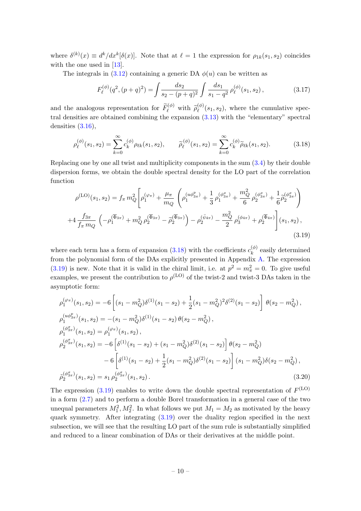where  $\delta^{(k)}(x) \equiv d^k/dx^k[\delta(x)]$ . Note that at  $\ell = 1$  the expression for  $\rho_{1k}(s_1, s_2)$  coincides with the one used in [\[13\]](#page-39-0).

The integrals in [\(3.12\)](#page-9-0) containing a generic DA  $\phi(u)$  can be written as

<span id="page-10-0"></span>
$$
F_{\ell}^{(\phi)}(q^2, (p+q)^2) = \int \frac{ds_2}{s_2 - (p+q)^2} \int \frac{ds_1}{s_1 - q^2} \rho_{\ell}^{(\phi)}(s_1, s_2), \tag{3.17}
$$

and the analogous representation for  $\widetilde{F}_{\ell}^{(\phi)}$  with  $\widetilde{\rho}_{\ell}^{(\phi)}$  $\mathcal{L}^{(0)}(s_1, s_2)$ , where the cumulative spectral densities are obtained combining the expansion [\(3.13\)](#page-9-1) with the "elementary" spectral densities  $(3.16)$ ,

$$
\rho_{\ell}^{(\phi)}(s_1, s_2) = \sum_{k=0}^{\infty} c_k^{(\phi)} \rho_{\ell k}(s_1, s_2), \qquad \tilde{\rho}_{\ell}^{(\phi)}(s_1, s_2) = \sum_{k=0}^{\infty} c_k^{(\phi)} \tilde{\rho}_{\ell k}(s_1, s_2). \tag{3.18}
$$

Replacing one by one all twist and multiplicity components in the sum [\(3.4\)](#page-7-2) by their double dispersion forms, we obtain the double spectral density for the LO part of the correlation function

<span id="page-10-1"></span>
$$
\rho^{(\text{LO})}(s_1, s_2) = f_{\pi} m_Q^2 \left[ \rho_1^{(\varphi_{\pi})} + \frac{\mu_{\pi}}{m_Q} \left( \rho_1^{(u\phi_{3\pi}^p)} + \frac{1}{3} \rho_1^{(\phi_{3\pi}^q)} + \frac{m_Q^2}{6} \rho_2^{(\phi_{3\pi}^q)} + \frac{1}{6} \tilde{\rho}_2^{(\phi_{3\pi}^q)} \right) \right]
$$
  
+4  $\frac{f_{3\pi}}{f_{\pi} m_Q} \left( -\rho_1^{(\overline{\Phi}_{3\pi})} + m_Q^2 \rho_2^{(\overline{\Phi}_{3\pi})} - \tilde{\rho}_2^{(\overline{\Phi}_{3\pi})} \right) - \rho_2^{(\bar{\psi}_{4\pi})} - \frac{m_Q^2}{2} \rho_3^{(\phi_{4\pi})} + \rho_2^{(\overline{\Phi}_{4\pi})} \left[ (s_1, s_2), (3.19) \right]$ 

where each term has a form of expansion [\(3.18\)](#page-10-0) with the coefficients  $c_k^{(\phi)}$  $k^{(\varphi)}$  easily determined from the polynomial form of the DAs explicitly presented in Appendix [A.](#page-32-0) The expression [\(3.19\)](#page-10-1) is new. Note that it is valid in the chiral limit, i.e. at  $p^2 = m_{\pi}^2 = 0$ . To give useful examples, we present the contribution to  $\rho^{(\text{LO})}$  of the twist-2 and twist-3 DAs taken in the asymptotic form:

$$
\rho_1^{(\varphi_{\pi})}(s_1, s_2) = -6 \left[ (s_1 - m_Q^2) \delta^{(1)}(s_1 - s_2) + \frac{1}{2} (s_1 - m_Q^2)^2 \delta^{(2)}(s_1 - s_2) \right] \theta(s_2 - m_Q^2),
$$
  
\n
$$
\rho_1^{(u\phi_{3\pi}^p)}(s_1, s_2) = -(s_1 - m_Q^2) \delta^{(1)}(s_1 - s_2) \theta(s_2 - m_Q^2),
$$
  
\n
$$
\rho_1^{(\phi_{3\pi}^q)}(s_1, s_2) = \rho_1^{(\varphi_{\pi})}(s_1, s_2),
$$
  
\n
$$
\rho_2^{(\phi_{3\pi}^q)}(s_1, s_2) = -6 \left[ \delta^{(1)}(s_1 - s_2) + (s_1 - m_Q^2) \delta^{(2)}(s_1 - s_2) \right] \theta(s_2 - m_Q^2)
$$
  
\n
$$
-6 \left[ \delta^{(1)}(s_1 - s_2) + \frac{1}{2} (s_1 - m_Q^2) \delta^{(2)}(s_1 - s_2) \right] (s_1 - m_Q^2) \delta(s_2 - m_Q^2),
$$
  
\n
$$
\tilde{\rho}_2^{(\phi_{3\pi}^q)}(s_1, s_2) = s_1 \rho_2^{(\phi_{3\pi}^q)}(s_1, s_2).
$$
  
\n(3.20)

The expression [\(3.19\)](#page-10-1) enables to write down the double spectral representation of  $F^{(LO)}$ in a form [\(2.7\)](#page-5-2) and to perform a double Borel transformation in a general case of the two unequal parameters  $M_1^2, M_2^2$ . In what follows we put  $M_1 = M_2$  as motivated by the heavy quark symmetry. After integrating [\(3.19\)](#page-10-1) over the duality region specified in the next subsection, we will see that the resulting LO part of the sum rule is substantially simplified and reduced to a linear combination of DAs or their derivatives at the middle point.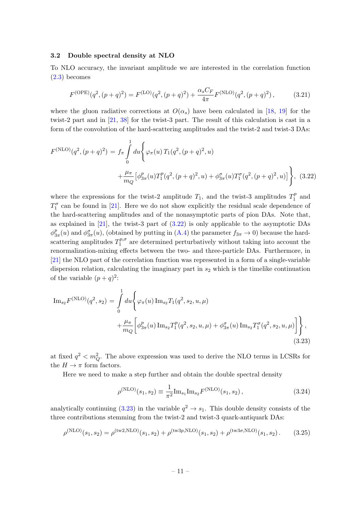#### <span id="page-11-0"></span>3.2 Double spectral density at NLO

To NLO accuracy, the invariant amplitude we are interested in the correlation function [\(2.3\)](#page-4-2) becomes

$$
F^{(\text{OPE})}(q^2, (p+q)^2) = F^{(\text{LO})}(q^2, (p+q)^2) + \frac{\alpha_s C_F}{4\pi} F^{(\text{NLO})}(q^2, (p+q)^2) ,\tag{3.21}
$$

where the gluon radiative corrections at  $O(\alpha_s)$  have been calculated in [\[18,](#page-39-4) [19\]](#page-39-16) for the twist-2 part and in [\[21,](#page-39-12) [38\]](#page-40-7) for the twist-3 part. The result of this calculation is cast in a form of the convolution of the hard-scattering amplitudes and the twist-2 and twist-3 DAs:

<span id="page-11-1"></span>
$$
F^{(NLO)}(q^2, (p+q)^2) = f_{\pi} \int_{0}^{1} du \Biggl\{ \varphi_{\pi}(u) T_1(q^2, (p+q)^2, u) + \frac{\mu_{\pi}}{m_Q} \Bigl[ \phi_{3\pi}^p(u) T_1^p(q^2, (p+q)^2, u) + \phi_{3\pi}^{\sigma}(u) T_1^{\sigma}(q^2, (p+q)^2, u) \Bigr] \Biggr\}, \quad (3.22)
$$

where the expressions for the twist-2 amplitude  $T_1$ , and the twist-3 amplitudes  $T_1^p$  $j_1^p$  and  $T_1^{\sigma}$  can be found in [\[21\]](#page-39-12). Here we do not show explicitly the residual scale dependence of the hard-scattering amplitudes and of the nonasymptotic parts of pion DAs. Note that, as explained in  $[21]$ , the twist-3 part of  $(3.22)$  is only applicable to the asymptotic DAs  $\phi^p_3$  $\frac{p}{3\pi}(u)$  and  $\phi_{3\pi}^{\sigma}(u)$ , (obtained by putting in [\(A.4\)](#page-32-1) the parameter  $f_{3\pi} \to 0$ ) because the hardscattering amplitudes  $T_1^{p,\sigma}$  $1^{p,\sigma}$  are determined perturbatively without taking into account the renormalization-mixing effects between the two- and three-particle DAs. Furthermore, in [\[21\]](#page-39-12) the NLO part of the correlation function was represented in a form of a single-variable dispersion relation, calculating the imaginary part in  $s_2$  which is the timelike continuation of the variable  $(p+q)^2$ :

<span id="page-11-2"></span>
$$
\begin{split} \text{Im}_{s_{2}} F^{(\text{NLO})}(q^{2}, s_{2}) &= \int_{0}^{1} du \Biggl\{ \varphi_{\pi}(u) \, \text{Im}_{s_{2}} T_{1}(q^{2}, s_{2}, u, \mu) \\ &+ \frac{\mu_{\pi}}{m_{Q}} \biggl[ \phi_{3\pi}^{p}(u) \, \text{Im}_{s_{2}} T_{1}^{p}(q^{2}, s_{2}, u, \mu) + \phi_{3\pi}^{\sigma}(u) \, \text{Im}_{s_{2}} T_{1}^{\sigma}(q^{2}, s_{2}, u, \mu) \biggr] \Biggr\} \,, \end{split} \tag{3.23}
$$

at fixed  $q^2 < m_Q^2$ . The above expression was used to derive the NLO terms in LCSRs for the  $H \to \pi$  form factors.

Here we need to make a step further and obtain the double spectral density

<span id="page-11-3"></span>
$$
\rho^{(\text{NLO})}(s_1, s_2) \equiv \frac{1}{\pi^2} \text{Im}_{s_1} \text{Im}_{s_2} F^{(\text{NLO})}(s_1, s_2), \qquad (3.24)
$$

analytically continuing  $(3.23)$  in the variable  $q^2 \to s_1$ . This double density consists of the three contributions stemming from the twist-2 and twist-3 quark-antiquark DAs:

$$
\rho^{(NLO)}(s_1, s_2) = \rho^{(tw2, NLO)}(s_1, s_2) + \rho^{(tw3p, NLO)}(s_1, s_2) + \rho^{(tw3\sigma, NLO)}(s_1, s_2).
$$
 (3.25)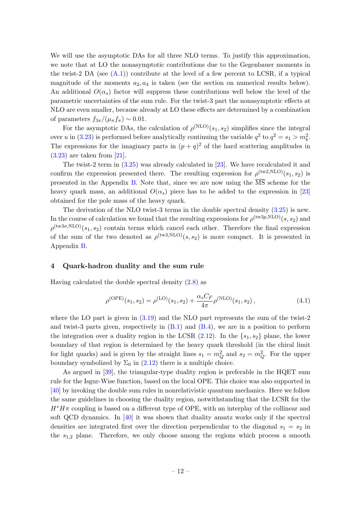We will use the asymptotic DAs for all three NLO terms. To justify this approximation, we note that at LO the nonasymptotic contributions due to the Gegenbauer moments in the twist-2 DA (see  $(A.1)$ ) contribute at the level of a few percent to LCSR, if a typical magnitude of the moments  $a_2, a_4$  is taken (see the section on numerical results below). An additional  $O(\alpha_s)$  factor will suppress these contributions well below the level of the parametric uncertainties of the sum rule. For the twist-3 part the nonasymptotic effects at NLO are even smaller, because already at LO these effects are determined by a combination of parameters  $f_{3\pi}/(\mu_{\pi}f_{\pi}) \sim 0.01$ .

For the asymptotic DAs, the calculation of  $\rho^{(\text{NLO})}(s_1, s_2)$  simplifies since the integral over u in [\(3.23\)](#page-11-2) is performed before analytically continuing the variable  $q^2$  to  $q^2 = s_1 > m_b^2$ . The expressions for the imaginary parts in  $(p+q)^2$  of the hard scattering amplitudes in  $(3.23)$  are taken from [\[21\]](#page-39-12).

The twist-2 term in [\(3.25\)](#page-11-3) was already calculated in [\[23\]](#page-39-6). We have recalculated it and confirm the expression presented there. The resulting expression for  $\rho^{(tw2,NLO)}(s_1, s_2)$  is presented in the Appendix [B.](#page-34-0) Note that, since we are now using the  $\overline{\text{MS}}$  scheme for the heavy quark mass, an additional  $O(\alpha_s)$  piece has to be added to the expression in [\[23\]](#page-39-6) obtained for the pole mass of the heavy quark.

The derivation of the NLO twist-3 terms in the double spectral density [\(3.25\)](#page-11-3) is new. In the course of calculation we found that the resulting expressions for  $\rho^{(\text{tw}3p,\text{NLO})}(s,s_2)$  and  $\rho^{(\text{tw3}\sigma,\text{NLO})}(s_1, s_2)$  contain terms which cancel each other. Therefore the final expression of the sum of the two denoted as  $\rho^{(tw3,NLO)}(s,s_2)$  is more compact. It is presented in Appendix [B.](#page-34-0)

#### <span id="page-12-0"></span>4 Quark-hadron duality and the sum rule

Having calculated the double spectral density [\(2.8\)](#page-5-3) as

<span id="page-12-1"></span>
$$
\rho^{\text{(OPE)}}(s_1, s_2) = \rho^{\text{(LO)}}(s_1, s_2) + \frac{\alpha_s C_F}{4\pi} \rho^{\text{(NLO)}}(s_1, s_2), \tag{4.1}
$$

where the LO part is given in  $(3.19)$  and the NLO part represents the sum of the twist-2 and twist-3 parts given, respectively in  $(B.1)$  and  $(B.4)$ , we are in a position to perform the integration over a duality region in the LCSR  $(2.12)$ . In the  $\{s_1, s_2\}$  plane, the lower boundary of that region is determined by the heavy quark threshold (in the chiral limit for light quarks) and is given by the straight lines  $s_1 = m_Q^2$  and  $s_2 = m_Q^2$ . For the upper boundary symbolized by  $\Sigma_0$  in [\(2.12\)](#page-6-2) there is a multiple choice.

As argued in [\[39\]](#page-40-8), the triangular-type duality region is preferable in the HQET sum rule for the Isgur-Wise function, based on the local OPE. This choice was also supported in [\[40\]](#page-40-9) by invoking the double sum rules in nonrelativistic quantum mechanics. Here we follow the same guidelines in choosing the duality region, notwithstanding that the LCSR for the  $H^*H\pi$  coupling is based on a different type of OPE, with an interplay of the collinear and soft QCD dynamics. In [\[40\]](#page-40-9) it was shown that duality ansatz works only if the spectral densities are integrated first over the direction perpendicular to the diagonal  $s_1 = s_2$  in the  $s_{1,2}$  plane. Therefore, we only choose among the regions which process a smooth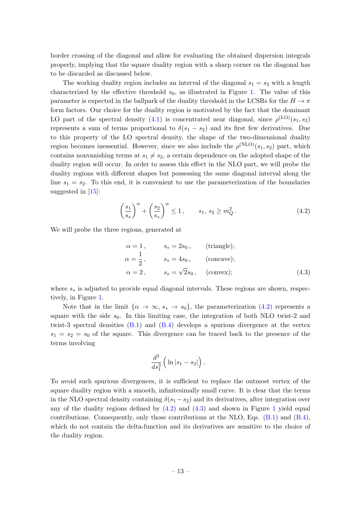border crossing of the diagonal and allow for evaluating the obtained dispersion integrals properly, implying that the square duality region with a sharp corner on the diagonal has to be discarded as discussed below.

The working duality region includes an interval of the diagonal  $s_1 = s_2$  with a length characterized by the effective threshold  $s_0$ , as illustrated in Figure [1.](#page-14-0) The value of this parameter is expected in the ballpark of the duality threshold in the LCSRs for the  $H \to \pi$ form factors. Our choice for the duality region is motivated by the fact that the dominant LO part of the spectral density [\(4.1\)](#page-12-1) is concentrated near diagonal, since  $\rho^{(\text{LO})}(s_1, s_2)$ represents a sum of terms proportional to  $\delta(s_1 - s_2)$  and its first few derivatives. Due to this property of the LO spectral density, the shape of the two-dimensional duality region becomes inessential. However, since we also include the  $\rho^{(NLO)}(s_1, s_2)$  part, which contains nonvanishing terms at  $s_1 \neq s_2$ , a certain dependence on the adopted shape of the duality region will occur. In order to assess this effect in the NLO part, we will probe the duality regions with different shapes but possessing the same diagonal interval along the line  $s_1 = s_2$ . To this end, it is convenient to use the parameterization of the boundaries suggested in [\[15\]](#page-39-17):

<span id="page-13-0"></span>
$$
\left(\frac{s_1}{s_*}\right)^{\alpha} + \left(\frac{s_2}{s_*}\right)^{\alpha} \le 1, \qquad s_1, s_2 \ge m_Q^2. \tag{4.2}
$$

We will probe the three regions, generated at

<span id="page-13-1"></span>
$$
\alpha = 1, \qquad s_* = 2s_0, \qquad \text{(triangle)};
$$
  
\n
$$
\alpha = \frac{1}{2}, \qquad s_* = 4s_0, \qquad \text{(concave)};
$$
  
\n
$$
\alpha = 2, \qquad s_* = \sqrt{2}s_0, \qquad \text{(convex)};
$$
\n(4.3)

where  $s_*$  is adjusted to provide equal diagonal intervals. These regions are shown, respectively, in Figure [1.](#page-14-0)

Note that in the limit  $\{\alpha \to \infty, s_* \to s_0\}$ , the parameterization [\(4.2\)](#page-13-0) represents a square with the side  $s_0$ . In this limiting case, the integration of both NLO twist-2 and twist-3 spectral densities [\(B.1\)](#page-34-1) and [\(B.4\)](#page-34-2) develops a spurious divergence at the vertex  $s_1 = s_2 = s_0$  of the square. This divergence can be traced back to the presence of the terms involving

$$
\frac{d^3}{ds_1^3}\left(\ln|s_1-s_2|\right).
$$

To avoid such spurious divergences, it is sufficient to replace the outmost vertex of the square duality region with a smooth, infinitesimally small curve. It is clear that the terms in the NLO spectral density containing  $\delta(s_1-s_2)$  and its derivatives, after integration over any of the duality regions defined by  $(4.2)$  and  $(4.3)$  and shown in Figure [1](#page-14-0) yield equal contributions. Consequently, only those contributions at the NLO, Eqs.  $(B.1)$  and  $(B.4)$ , which do not contain the delta-function and its derivatives are sensitive to the choice of the duality region.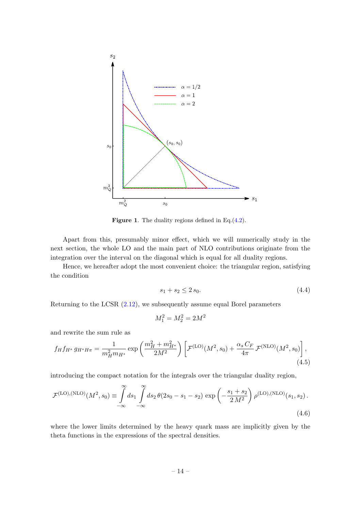

<span id="page-14-0"></span>Figure 1. The duality regions defined in Eq.[\(4.2\)](#page-13-0).

Apart from this, presumably minor effect, which we will numerically study in the next section, the whole LO and the main part of NLO contributions originate from the integration over the interval on the diagonal which is equal for all duality regions.

Hence, we hereafter adopt the most convenient choice: the triangular region, satisfying the condition

$$
s_1 + s_2 \le 2 s_0. \tag{4.4}
$$

Returning to the LCSR [\(2.12\)](#page-6-2), we subsequently assume equal Borel parameters

<span id="page-14-2"></span><span id="page-14-1"></span>
$$
M_1^2 = M_2^2 = 2M^2
$$

and rewrite the sum rule as

$$
f_H f_{H^*} g_{H^* H \pi} = \frac{1}{m_H^2 m_{H^*}} \exp\left(\frac{m_H^2 + m_{H^*}^2}{2M^2}\right) \left[ \mathcal{F}^{(\text{LO})}(M^2, s_0) + \frac{\alpha_s C_F}{4\pi} \mathcal{F}^{(\text{NLO})}(M^2, s_0) \right],\tag{4.5}
$$

introducing the compact notation for the integrals over the triangular duality region,

$$
\mathcal{F}^{(\text{LO}),(\text{NLO})}(M^2, s_0) \equiv \int_{-\infty}^{\infty} ds_1 \int_{-\infty}^{\infty} ds_2 \,\theta(2s_0 - s_1 - s_2) \, \exp\left(-\frac{s_1 + s_2}{2 \, M^2}\right) \rho^{(\text{LO}),(\text{NLO})}(s_1, s_2).
$$
\n(4.6)

where the lower limits determined by the heavy quark mass are implicitly given by the theta functions in the expressions of the spectral densities.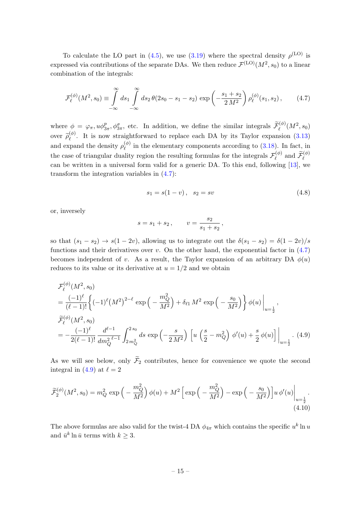To calculate the LO part in [\(4.5\)](#page-14-1), we use [\(3.19\)](#page-10-1) where the spectral density  $\rho^{(\text{LO})}$  is expressed via contributions of the separate DAs. We then reduce  $\mathcal{F}^{(\mathrm{LO})}(M^2,s_0)$  to a linear combination of the integrals:

$$
\mathcal{F}_{\ell}^{(\phi)}(M^2, s_0) \equiv \int_{-\infty}^{\infty} ds_1 \int_{-\infty}^{\infty} ds_2 \,\theta(2s_0 - s_1 - s_2) \, \exp\left(-\frac{s_1 + s_2}{2 \, M^2}\right) \rho_{\ell}^{(\phi)}(s_1, s_2),\tag{4.7}
$$

where  $\phi = \varphi_{\pi}, u \phi_{3\pi}^p, \phi_{3\pi}^{\sigma}$ , etc. In addition, we define the similar integrals  $\widetilde{\mathcal{F}}_{\ell}^{(\phi)}(M^2, s_0)$ over  $\widetilde{\rho}_{\ell}^{(\phi)}$  $\chi_{\ell}^{(0)}$ . It is now straightforward to replace each DA by its Taylor expansion [\(3.13\)](#page-9-1) and expand the density  $\rho_{\ell}^{(\phi)}$  $\binom{\varphi}{\ell}$  in the elementary components according to [\(3.18\)](#page-10-0). In fact, in the case of triangular duality region the resulting formulas for the integrals  $\mathcal{F}_{\ell}^{(\phi)}$  $\widetilde{\mathcal{F}}_{\ell}^{(\phi)}$  and  $\widetilde{\mathcal{F}}_{\ell}^{(\phi)}$ can be written in a universal form valid for a generic DA. To this end, following [\[13\]](#page-39-0), we transform the integration variables in [\(4.7\)](#page-15-0):

<span id="page-15-0"></span>
$$
s_1 = s(1 - v), \quad s_2 = sv \tag{4.8}
$$

or, inversely

$$
s = s_1 + s_2
$$
,  $v = \frac{s_2}{s_1 + s_2}$ ,

so that  $(s_1 - s_2) \rightarrow s(1 - 2v)$ , allowing us to integrate out the  $\delta(s_1 - s_2) = \delta(1 - 2v)/s$ functions and their derivatives over  $v$ . On the other hand, the exponential factor in  $(4.7)$ becomes independent of v. As a result, the Taylor expansion of an arbitrary DA  $\phi(u)$ reduces to its value or its derivative at  $u = 1/2$  and we obtain

<span id="page-15-1"></span>
$$
\mathcal{F}_{\ell}^{(\phi)}(M^2, s_0)
$$
\n
$$
= \frac{(-1)^{\ell}}{(\ell-1)!} \left\{ (-1)^{\ell} (M^2)^{2-\ell} \exp\left(-\frac{m_Q^2}{M^2}\right) + \delta_{\ell 1} M^2 \exp\left(-\frac{s_0}{M^2}\right) \right\} \phi(u) \Big|_{u=\frac{1}{2}},
$$
\n
$$
\widetilde{\mathcal{F}}_{\ell}^{(\phi)}(M^2, s_0)
$$
\n
$$
= -\frac{(-1)^{\ell}}{2(\ell-1)!} \frac{d^{\ell-1}}{dm_Q^2} \int_{2m_Q^2}^{2s_0} ds \exp\left(-\frac{s}{2M^2}\right) \left[ u \left(\frac{s}{2} - m_Q^2\right) \phi'(u) + \frac{s}{2} \phi(u) \right] \Big|_{u=\frac{1}{2}} . \tag{4.9}
$$

As we will see below, only  $\widetilde{\mathcal{F}}_2$  contributes, hence for convenience we quote the second integral in [\(4.9\)](#page-15-1) at  $\ell = 2$ 

$$
\widetilde{\mathcal{F}}_2^{(\phi)}(M^2, s_0) = m_Q^2 \exp\left(-\frac{m_Q^2}{M^2}\right) \phi(u) + M^2 \left[\exp\left(-\frac{m_Q^2}{M^2}\right) - \exp\left(-\frac{s_0}{M^2}\right)\right] u \, \phi'(u) \bigg|_{u = \frac{1}{2}}.\tag{4.10}
$$

The above formulas are also valid for the twist-4 DA  $\phi_{4\pi}$  which contains the specific  $u^k \ln u$ and  $\bar{u}^k \ln \bar{u}$  terms with  $k \geq 3$ .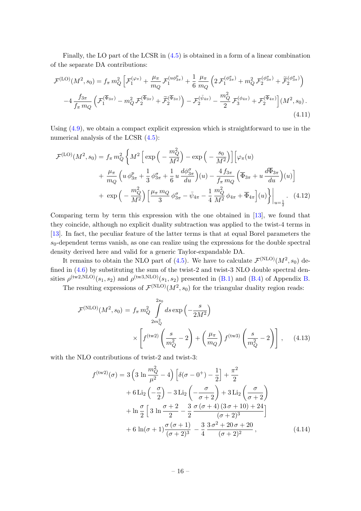Finally, the LO part of the LCSR in [\(4.5\)](#page-14-1) is obtained in a form of a linear combination of the separate DA contributions:

$$
\mathcal{F}^{(\text{LO})}(M^{2}, s_{0}) = f_{\pi} m_{Q}^{2} \left[ \mathcal{F}_{1}^{(\varphi_{\pi})} + \frac{\mu_{\pi}}{m_{Q}} \mathcal{F}_{1}^{(u\phi_{3\pi}^{p})} + \frac{1}{6} \frac{\mu_{\pi}}{m_{Q}} \left( 2 \mathcal{F}_{1}^{(\phi_{3\pi}^{p})} + m_{Q}^{2} \mathcal{F}_{2}^{(\phi_{3\pi}^{p})} + \tilde{\mathcal{F}}_{2}^{(\phi_{3\pi}^{p})} \right) \right)
$$

$$
-4 \frac{f_{3\pi}}{f_{\pi} m_{Q}} \left( \mathcal{F}_{1}^{(\overline{\Phi}_{3\pi})} - m_{Q}^{2} \mathcal{F}_{2}^{(\overline{\Phi}_{3\pi})} + \tilde{\mathcal{F}}_{2}^{(\overline{\Phi}_{3\pi})} \right) - \mathcal{F}_{2}^{(\psi_{4\pi})} - \frac{m_{Q}^{2}}{2} \mathcal{F}_{3}^{(\phi_{4\pi})} + \mathcal{F}_{2}^{(\overline{\Phi}_{4\pi})} \right] (M^{2}, s_{0}). \tag{4.11}
$$

Using [\(4.9\)](#page-15-1), we obtain a compact explicit expression which is straightforward to use in the numerical analysis of the LCSR  $(4.5)$ :

<span id="page-16-1"></span>
$$
\mathcal{F}^{(\text{LO})}(M^{2}, s_{0}) = f_{\pi} m_{Q}^{2} \left\{ M^{2} \left[ \exp \left( - \frac{m_{Q}^{2}}{M^{2}} \right) - \exp \left( - \frac{s_{0}}{M^{2}} \right) \right] \left[ \varphi_{\pi}(u) \right. \right.\left. + \frac{\mu_{\pi}}{m_{Q}} \left( u \, \phi_{3\pi}^{p} + \frac{1}{3} \, \phi_{3\pi}^{q} + \frac{1}{6} u \, \frac{d\phi_{3\pi}^{q}}{du} \right) (u) - \frac{4 f_{3\pi}}{f_{\pi} m_{Q}} \left( \overline{\Phi}_{3\pi} + u \, \frac{d\overline{\Phi}_{3\pi}}{du} \right) (u) \right] \right.\left. + \exp \left( - \frac{m_{Q}^{2}}{M^{2}} \right) \left[ \frac{\mu_{\pi} m_{Q}}{3} \, \phi_{3\pi}^{q} - \bar{\psi}_{4\pi} - \frac{1}{4} \, \frac{m_{Q}^{2}}{M^{2}} \, \phi_{4\pi} + \overline{\Phi}_{4\pi} \right] (u) \right\} \Big|_{u = \frac{1}{2}} . \tag{4.12}
$$

Comparing term by term this expression with the one obtained in [\[13\]](#page-39-0), we found that they coincide, although no explicit duality subtraction was applied to the twist-4 terms in [\[13\]](#page-39-0). In fact, the peculiar feature of the latter terms is that at equal Borel parameters the  $s_0$ -dependent terms vanish, as one can realize using the expressions for the double spectral density derived here and valid for a generic Taylor-expandable DA.

It remains to obtain the NLO part of [\(4.5\)](#page-14-1). We have to calculate  $\mathcal{F}^{(NLO)}(M^2,s_0)$  defined in [\(4.6\)](#page-14-2) by substituting the sum of the twist-2 and twist-3 NLO double spectral densities  $\rho^{(\text{tw2,NLO})}(s_1, s_2)$  and  $\rho^{(\text{tw3,NLO})}(s_1, s_2)$  presented in [\(B.1\)](#page-34-1) and [\(B.4\)](#page-34-2) of Appendix [B.](#page-34-0)

The resulting expressions of  $\mathcal{F}^{(NLO)}(M^2, s_0)$  for the triangular duality region reads:

<span id="page-16-2"></span>
$$
\mathcal{F}^{(\text{NLO})}(M^2, s_0) = f_{\pi} m_Q^2 \int_{2m_Q^2}^{2s_0} ds \exp\left(-\frac{s}{2M^2}\right) \times \left[ f^{(\text{tw2})} \left(\frac{s}{m_Q^2} - 2\right) + \left(\frac{\mu_{\pi}}{m_Q}\right) f^{(\text{tw3})} \left(\frac{s}{m_Q^2} - 2\right) \right], \quad (4.13)
$$

with the NLO contributions of twist-2 and twist-3:

<span id="page-16-0"></span>
$$
f^{(\text{tw2})}(\sigma) = 3 \left( 3 \ln \frac{m_Q^2}{\mu^2} - 4 \right) \left[ \delta(\sigma - 0^+) - \frac{1}{2} \right] + \frac{\pi^2}{2}
$$
  
+ 6 \text{Li}\_2\left(-\frac{\sigma}{2}\right) - 3 \text{Li}\_2\left(-\frac{\sigma}{\sigma + 2}\right) + 3 \text{Li}\_2\left(\frac{\sigma}{\sigma + 2}\right)   
+ \ln \frac{\sigma}{2} \left[ 3 \ln \frac{\sigma + 2}{2} - \frac{3}{2} \frac{\sigma(\sigma + 4) (3 \sigma + 10) + 24}{(\sigma + 2)^3} \right]   
+ 6 \ln(\sigma + 1) \frac{\sigma(\sigma + 1)}{(\sigma + 2)^3} - \frac{3}{4} \frac{3 \sigma^2 + 20 \sigma + 20}{(\sigma + 2)^2}, \tag{4.14}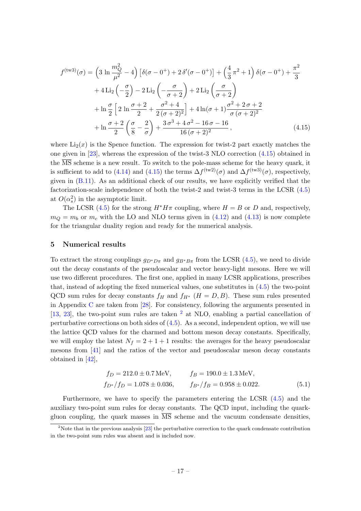<span id="page-17-1"></span>
$$
f^{(\text{tw3})}(\sigma) = \left(3 \ln \frac{m_Q^2}{\mu^2} - 4\right) \left[\delta(\sigma - 0^+) + 2\delta'(\sigma - 0^+)\right] + \left(\frac{4}{3}\pi^2 + 1\right)\delta(\sigma - 0^+) + \frac{\pi^2}{3} + 4 \text{Li}_2\left(-\frac{\sigma}{2}\right) - 2 \text{Li}_2\left(-\frac{\sigma}{\sigma + 2}\right) + 2 \text{Li}_2\left(\frac{\sigma}{\sigma + 2}\right) + \ln \frac{\sigma}{2} \left[2 \ln \frac{\sigma + 2}{2} + \frac{\sigma^2 + 4}{2(\sigma + 2)^2}\right] + 4 \ln(\sigma + 1)\frac{\sigma^2 + 2\sigma + 2}{\sigma(\sigma + 2)^2} + \ln \frac{\sigma + 2}{2}\left(\frac{\sigma}{8} - \frac{2}{\sigma}\right) + \frac{3\sigma^3 + 4\sigma^2 - 16\sigma - 16}{16(\sigma + 2)^2},
$$
(4.15)

where  $Li_2(x)$  is the Spence function. The expression for twist-2 part exactly matches the one given in [\[23\]](#page-39-6), whereas the expression of the twist-3 NLO correction [\(4.15\)](#page-17-1) obtained in the  $\overline{\text{MS}}$  scheme is a new result. To switch to the pole-mass scheme for the heavy quark, it is sufficient to add to [\(4.14\)](#page-16-0) and [\(4.15\)](#page-17-1) the terms  $\Delta f^{(\text{tw2})}(\sigma)$  and  $\Delta f^{(\text{tw3})}(\sigma)$ , respectively, given in [\(B.11\)](#page-36-1). As an additional check of our results, we have explicitly verified that the factorization-scale independence of both the twist-2 and twist-3 terms in the LCSR [\(4.5\)](#page-14-1) at  $O(\alpha_s^2)$  in the asymptotic limit.

The LCSR [\(4.5\)](#page-14-1) for the strong  $H^*H\pi$  coupling, where  $H = B$  or D and, respectively,  $m_Q = m_b$  or  $m_c$  with the LO and NLO terms given in [\(4.12\)](#page-16-1) and [\(4.13\)](#page-16-2) is now complete for the triangular duality region and ready for the numerical analysis.

#### <span id="page-17-0"></span>5 Numerical results

To extract the strong couplings  $g_{D^*D\pi}$  and  $g_{B^*B\pi}$  from the LCSR [\(4.5\)](#page-14-1), we need to divide out the decay constants of the pseudoscalar and vector heavy-light mesons. Here we will use two different procedures. The first one, applied in many LCSR applications, prescribes that, instead of adopting the fixed numerical values, one substitutes in [\(4.5\)](#page-14-1) the two-point QCD sum rules for decay constants  $f_H$  and  $f_{H^*}$  ( $H = D, B$ ). These sum rules presented in Appendix  $C$  are taken from  $[28]$ . For consistency, following the arguments presented in [\[13,](#page-39-0) [23\]](#page-39-6), the two-point sum rules are taken  $^2$  $^2$  at NLO, enabling a partial cancellation of perturbative corrections on both sides of  $(4.5)$ . As a second, independent option, we will use the lattice QCD values for the charmed and bottom meson decay constants. Specifically, we will employ the latest  $N_f = 2 + 1 + 1$  results: the averages for the heavy pseudoscalar mesons from [\[41\]](#page-40-10) and the ratios of the vector and pseudoscalar meson decay constants obtained in [\[42\]](#page-40-11),

<span id="page-17-3"></span>
$$
f_D = 212.0 \pm 0.7 \,\text{MeV}, \qquad f_B = 190.0 \pm 1.3 \,\text{MeV},
$$
  
\n
$$
f_{D^*}/f_D = 1.078 \pm 0.036, \qquad f_{B^*}/f_B = 0.958 \pm 0.022.
$$
 (5.1)

Furthermore, we have to specify the parameters entering the LCSR [\(4.5\)](#page-14-1) and the auxiliary two-point sum rules for decay constants. The QCD input, including the quarkgluon coupling, the quark masses in  $\overline{\text{MS}}$  scheme and the vacuum condensate densities,

<span id="page-17-2"></span><sup>&</sup>lt;sup>2</sup>Note that in the previous analysis  $\boxed{23}$  the perturbative correction to the quark condensate contribution in the two-point sum rules was absent and is included now.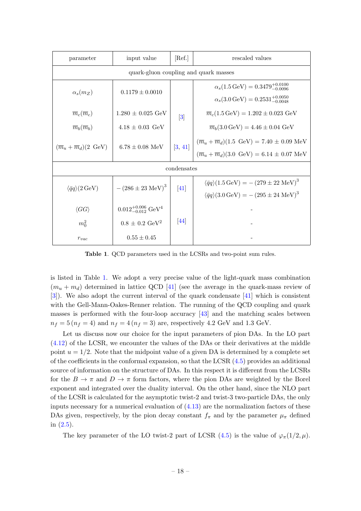| parameter                                                                    | input value                                | [Ref.]               | rescaled values                                                                                                        |  |  |  |
|------------------------------------------------------------------------------|--------------------------------------------|----------------------|------------------------------------------------------------------------------------------------------------------------|--|--|--|
| quark-gluon coupling and quark masses                                        |                                            |                      |                                                                                                                        |  |  |  |
| $\alpha_s(m_Z)$<br>$0.1179 \pm 0.0010$                                       |                                            |                      | $\alpha_s(1.5 \,\text{GeV}) = 0.3479_{-0.0096}^{+0.0100}$<br>$\alpha_s(3.0 \,\text{GeV}) = 0.2531^{+0.0050}_{-0.0048}$ |  |  |  |
| $\overline{m}_c(\overline{m}_c)$                                             | $1.280 \pm 0.025 \text{ GeV}$              | $\left 3\right $     | $\overline{m}_c(1.5 \,\text{GeV}) = 1.202 \pm 0.023 \,\text{GeV}$                                                      |  |  |  |
| $\overline{m}_b(\overline{m}_b)$                                             | $4.18 \pm 0.03 \text{ GeV}$                |                      | $\overline{m}_b(3.0 \,\text{GeV}) = 4.46 \pm 0.04 \,\text{GeV}$                                                        |  |  |  |
| $(\overline{m}_u + \overline{m}_d)(2 \text{ GeV})$                           | $6.78 \pm 0.08$ MeV                        | $\left 3, 41\right $ | $(\overline{m}_u + \overline{m}_d)(1.5 \text{ GeV}) = 7.40 \pm 0.09 \text{ MeV}$                                       |  |  |  |
|                                                                              |                                            |                      | $(\overline{m}_u + \overline{m}_d)(3.0 \text{ GeV}) = 6.14 \pm 0.07 \text{ MeV}$                                       |  |  |  |
| condensates                                                                  |                                            |                      |                                                                                                                        |  |  |  |
| $-(286 \pm 23 \text{ MeV})^3$<br>$\langle \bar{q}q \rangle (2 \,\text{GeV})$ |                                            | $\left[41\right]$    | $\langle \bar{q}q \rangle (1.5 \,\text{GeV}) = -(279 \pm 22 \,\text{MeV})^3$                                           |  |  |  |
|                                                                              |                                            |                      | $\langle \bar{q}q \rangle (3.0 \,\text{GeV}) = -(295 \pm 24 \,\text{MeV})^3$                                           |  |  |  |
| $\langle GG \rangle$                                                         | $0.012_{-0.012}^{+0.006}$ GeV <sup>4</sup> |                      |                                                                                                                        |  |  |  |
| $m_0^2$                                                                      | $0.8 \pm 0.2 \text{ GeV}^2$                | 44                   |                                                                                                                        |  |  |  |
| $r_{vac}$                                                                    | $0.55 \pm 0.45$                            |                      |                                                                                                                        |  |  |  |

<span id="page-18-0"></span>Table 1. QCD parameters used in the LCSRs and two-point sum rules.

is listed in Table [1.](#page-18-0) We adopt a very precise value of the light-quark mass combination  $(m_u + m_d)$  determined in lattice QCD [\[41\]](#page-40-10) (see the average in the quark-mass review of [\[3\]](#page-38-1)). We also adopt the current interval of the quark condensate [\[41\]](#page-40-10) which is consistent with the Gell-Mann-Oakes-Renner relation. The running of the QCD coupling and quark masses is performed with the four-loop accuracy  $\begin{bmatrix}43\end{bmatrix}$  and the matching scales between  $n_f = 5 (n_f = 4)$  and  $n_f = 4 (n_f = 3)$  are, respectively 4.2 GeV and 1.3 GeV.

Let us discuss now our choice for the input parameters of pion DAs. In the LO part [\(4.12\)](#page-16-1) of the LCSR, we encounter the values of the DAs or their derivatives at the middle point  $u = 1/2$ . Note that the midpoint value of a given DA is determined by a complete set of the coefficients in the conformal expansion, so that the LCSR [\(4.5\)](#page-14-1) provides an additional source of information on the structure of DAs. In this respect it is different from the LCSRs for the  $B \to \pi$  and  $D \to \pi$  form factors, where the pion DAs are weighted by the Borel exponent and integrated over the duality interval. On the other hand, since the NLO part of the LCSR is calculated for the asymptotic twist-2 and twist-3 two-particle DAs, the only inputs necessary for a numerical evaluation of  $(4.13)$  are the normalization factors of these DAs given, respectively, by the pion decay constant  $f_{\pi}$  and by the parameter  $\mu_{\pi}$  defined in [\(2.5\)](#page-4-3).

The key parameter of the LO twist-2 part of LCSR [\(4.5\)](#page-14-1) is the value of  $\varphi_{\pi}(1/2,\mu)$ .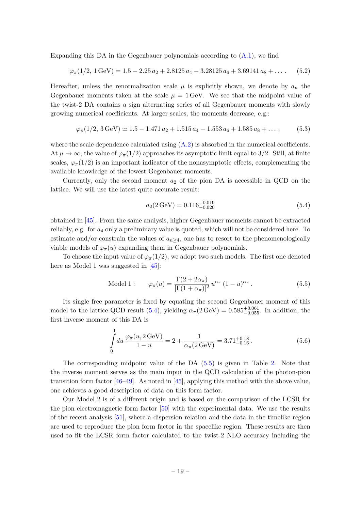Expanding this DA in the Gegenbauer polynomials according to  $(A.1)$ , we find

<span id="page-19-2"></span>
$$
\varphi_{\pi}(1/2, 1 \,\text{GeV}) = 1.5 - 2.25 \, a_2 + 2.8125 \, a_4 - 3.28125 \, a_6 + 3.69141 \, a_8 + \dots \tag{5.2}
$$

Hereafter, unless the renormalization scale  $\mu$  is explicitly shown, we denote by  $a_n$  the Gegenbauer moments taken at the scale  $\mu = 1$  GeV. We see that the midpoint value of the twist-2 DA contains a sign alternating series of all Gegenbauer moments with slowly growing numerical coefficients. At larger scales, the moments decrease, e.g.:

$$
\varphi_{\pi}(1/2, 3 \text{ GeV}) \simeq 1.5 - 1.471 a_2 + 1.515 a_4 - 1.553 a_6 + 1.585 a_8 + \dots,
$$
 (5.3)

where the scale dependence calculated using  $(A.2)$  is absorbed in the numerical coefficients. At  $\mu \to \infty$ , the value of  $\varphi_{\pi}(1/2)$  approaches its asymptotic limit equal to 3/2. Still, at finite scales,  $\varphi_{\pi}(1/2)$  is an important indicator of the nonasymptotic effects, complementing the available knowledge of the lowest Gegenbauer moments.

Currently, only the second moment  $a_2$  of the pion DA is accessible in QCD on the lattice. We will use the latest quite accurate result:

<span id="page-19-0"></span>
$$
a_2(2 \,\text{GeV}) = 0.116^{+0.019}_{-0.020} \tag{5.4}
$$

obtained in [\[45\]](#page-40-14). From the same analysis, higher Gegenbauer moments cannot be extracted reliably, e.g. for  $a_4$  only a preliminary value is quoted, which will not be considered here. To estimate and/or constrain the values of  $a_{n>4}$ , one has to resort to the phenomenologically viable models of  $\varphi_{\pi}(u)$  expanding them in Gegenbauer polynomials.

To choose the input value of  $\varphi_{\pi}(1/2)$ , we adopt two such models. The first one denoted here as Model 1 was suggested in [\[45\]](#page-40-14):

<span id="page-19-1"></span>Model 1: 
$$
\varphi_{\pi}(u) = \frac{\Gamma(2 + 2\alpha_{\pi})}{[\Gamma(1 + \alpha_{\pi})]^2} u^{\alpha_{\pi}} (1 - u)^{\alpha_{\pi}}.
$$
 (5.5)

Its single free parameter is fixed by equating the second Gegenbauer moment of this model to the lattice QCD result [\(5.4\)](#page-19-0), yielding  $\alpha_{\pi}(2 \text{ GeV}) = 0.585_{-0.055}^{+0.061}$ . In addition, the first inverse moment of this DA is

$$
\int_{0}^{1} du \frac{\varphi_{\pi}(u, 2 \,\text{GeV})}{1 - u} = 2 + \frac{1}{\alpha_{\pi}(2 \,\text{GeV})} = 3.71^{+0.18}_{-0.16}.
$$
\n(5.6)

The corresponding midpoint value of the DA [\(5.5\)](#page-19-1) is given in Table [2.](#page-20-0) Note that the inverse moment serves as the main input in the QCD calculation of the photon-pion transition form factor  $[46-49]$  $[46-49]$ . As noted in  $[45]$ , applying this method with the above value, one achieves a good description of data on this form factor.

Our Model 2 is of a different origin and is based on the comparison of the LCSR for the pion electromagnetic form factor [\[50\]](#page-41-1) with the experimental data. We use the results of the recent analysis [\[51\]](#page-41-2), where a dispersion relation and the data in the timelike region are used to reproduce the pion form factor in the spacelike region. These results are then used to fit the LCSR form factor calculated to the twist-2 NLO accuracy including the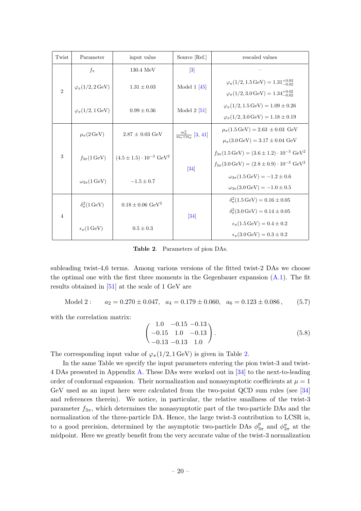| Twist                       | Parameter                            | input value                                 | Source [Ref.]                               | rescaled values                                                                                                                                      |
|-----------------------------|--------------------------------------|---------------------------------------------|---------------------------------------------|------------------------------------------------------------------------------------------------------------------------------------------------------|
|                             | $f_{\pi}$                            | $130.4 \text{ MeV}$                         | $\left 3\right $                            |                                                                                                                                                      |
| $\mathcal{D}_{\mathcal{L}}$ | $\varphi_{\pi}(1/2, 2 \,\text{GeV})$ | $1.31 \pm 0.03$                             | Model 1 $[45]$                              | $\varphi_{\pi}(1/2, 1.5 \,\text{GeV}) = 1.31^{+0.03}_{-0.02}$<br>$\varphi_{\pi}(1/2,3.0 \,\text{GeV}) = 1.34^{+0.02}_{-0.02}$                        |
|                             | $\varphi_{\pi}(1/2, 1 \,\text{GeV})$ | $0.99 \pm 0.36$                             | Model $2\; [51]$                            | $\varphi_{\pi}(1/2, 1.5 \,\text{GeV}) = 1.09 \pm 0.26$<br>$\varphi_{\pi}(1/2,3.0 \,\text{GeV}) = 1.18 \pm 0.19$                                      |
|                             | $\mu_{\pi}(2 \,\text{GeV})$          | $2.87 \pm 0.03 \text{ GeV}$                 | $\frac{m_{\pi}^2}{m_{\pi}+m_{\pi}}$ [3, 41] | $\mu_{\pi}(1.5 \,\text{GeV}) = 2.63 \pm 0.03 \,\text{GeV}$<br>$\mu_{\pi}(3.0 \,\text{GeV}) = 3.17 \pm 0.04 \,\text{GeV}$                             |
| 3                           | $f_{3\pi}(1 \,\text{GeV})$           | $(4.5 \pm 1.5) \cdot 10^{-3} \text{ GeV}^2$ | $[34]$                                      | $f_{3\pi}(1.5 \,\text{GeV}) = (3.6 \pm 1.2) \cdot 10^{-3} \text{ GeV}^2$<br>$f_{3\pi}(3.0 \,\text{GeV}) = (2.8 \pm 0.9) \cdot 10^{-3} \text{ GeV}^2$ |
|                             | $\omega_{3\pi}$ (1 GeV)              | $-1.5 \pm 0.7$                              |                                             | $\omega_{3\pi}(1.5 \,\text{GeV}) = -1.2 \pm 0.6$<br>$\omega_{3\pi}(3.0 \,\text{GeV}) = -1.0 \pm 0.5$                                                 |
| $\overline{4}$              | $\delta_{\pi}^2(1 \,\text{GeV})$     | $0.18 \pm 0.06 \text{ GeV}^2$               | $[34]$                                      | $\delta_{\pi}^2(1.5 \,\text{GeV}) = 0.16 \pm 0.05$<br>$\delta_{\pi}^2(3.0 \,\text{GeV}) = 0.14 \pm 0.05$                                             |
|                             | $\epsilon_{\pi}$ (1 GeV)             | $0.5 \pm 0.3$                               |                                             | $\epsilon_{\pi}$ (1.5 GeV) = 0.4 ± 0.2<br>$\epsilon_{\pi}$ (3.0 GeV) = 0.3 ± 0.2                                                                     |

<span id="page-20-0"></span>Table 2. Parameters of pion DAs.

subleading twist-4,6 terms. Among various versions of the fitted twist-2 DAs we choose the optimal one with the first three moments in the Gegenbauer expansion  $(A.1)$ . The fit results obtained in [\[51\]](#page-41-2) at the scale of 1 GeV are

Model 2 :  $a_2 = 0.270 \pm 0.047$ ,  $a_4 = 0.179 \pm 0.060$ ,  $a_6 = 0.123 \pm 0.086$ , (5.7)

with the correlation matrix:

$$
\begin{pmatrix} 1.0 & -0.15 & -0.13 \\ -0.15 & 1.0 & -0.13 \\ -0.13 & -0.13 & 1.0 \end{pmatrix}.
$$
 (5.8)

The corresponding input value of  $\varphi_{\pi}(1/2, 1 \,\text{GeV})$  is given in Table [2.](#page-20-0)

In the same Table we specify the input parameters entering the pion twist-3 and twist-4 DAs presented in Appendix [A.](#page-32-0) These DAs were worked out in [\[34\]](#page-40-3) to the next-to-leading order of conformal expansion. Their normalization and nonasymptotic coefficients at  $\mu = 1$ GeV used as an input here were calculated from the two-point QCD sum rules (see [\[34\]](#page-40-3) and references therein). We notice, in particular, the relative smallness of the twist-3 parameter  $f_{3\pi}$ , which determines the nonasymptotic part of the two-particle DAs and the normalization of the three-particle DA. Hence, the large twist-3 contribution to LCSR is, to a good precision, determined by the asymptotic two-particle DAs  $\phi_3^p$  $n_{3\pi}^p$  and  $\phi_{3\pi}^{\sigma}$  at the midpoint. Here we greatly benefit from the very accurate value of the twist-3 normalization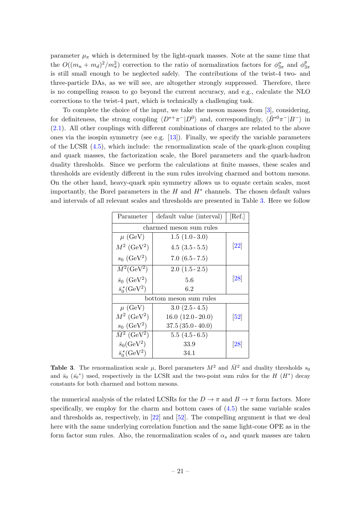parameter  $\mu_{\pi}$  which is determined by the light-quark masses. Note at the same time that the  $O((m_u+m_d)^2/m_\pi^2)$  correction to the ratio of normalization factors for  $\phi_{3\pi}^{\sigma}$  and  $\phi_{3\pi}^{\rho}$  $3\pi$ is still small enough to be neglected safely. The contributions of the twist-4 two- and three-particle DAs, as we will see, are altogether strongly suppressed. Therefore, there is no compelling reason to go beyond the current accuracy, and e.g., calculate the NLO corrections to the twist-4 part, which is technically a challenging task.

To complete the choice of the input, we take the meson masses from [\[3\]](#page-38-1), considering, for definiteness, the strong coupling  $\langle D^{*+}\pi^-|D^0\rangle$  and, correspondingly,  $\langle \bar{B}^{*0}\pi^-|B^-\rangle$  in [\(2.1\)](#page-4-1). All other couplings with different combinations of charges are related to the above ones via the isospin symmetry (see e.g.  $[13]$ ). Finally, we specify the variable parameters of the LCSR  $(4.5)$ , which include: the renormalization scale of the quark-gluon coupling and quark masses, the factorization scale, the Borel parameters and the quark-hadron duality thresholds. Since we perform the calculations at finite masses, these scales and thresholds are evidently different in the sum rules involving charmed and bottom mesons. On the other hand, heavy-quark spin symmetry allows us to equate certain scales, most importantly, the Borel parameters in the  $H$  and  $H^*$  channels. The chosen default values and intervals of all relevant scales and thresholds are presented in Table [3.](#page-21-0) Here we follow

| Parameter                       | [Ref.]                  |                              |  |  |  |
|---------------------------------|-------------------------|------------------------------|--|--|--|
|                                 | charmed meson sum rules |                              |  |  |  |
| $\mu$ (GeV)                     | $1.5(1.0-3.0)$          |                              |  |  |  |
| $M^2$ (GeV <sup>2</sup> )       | $4.5(3.5-5.5)$          | $\left[ 22\right]$           |  |  |  |
| $s_0$ (GeV <sup>2</sup> )       | $7.0(6.5 - 7.5)$        |                              |  |  |  |
| $\bar{M}^2$ (GeV <sup>2</sup> ) | $2.0(1.5-2.5)$          |                              |  |  |  |
| $\bar{s}_0$ (GeV <sup>2</sup> ) | 5.6                     | [28]                         |  |  |  |
| $\bar{s}_0^*(\text{GeV}^2)$     | 6.2                     |                              |  |  |  |
| bottom meson sum rules          |                         |                              |  |  |  |
| $\mu$ (GeV)                     | $3.0(2.5-4.5)$          |                              |  |  |  |
| $M^2$ (GeV <sup>2</sup> )       | $16.0(12.0-20.0)$       | $\left\lceil 52\right\rceil$ |  |  |  |
| $s_0$ (GeV <sup>2</sup> )       | $37.5(35.0 - 40.0)$     |                              |  |  |  |
| $\bar{M}^2$ (GeV <sup>2</sup> ) | $5.5(4.5-6.5)$          |                              |  |  |  |
| $\bar{s}_0$ (GeV <sup>2</sup> ) | 33.9                    | [28]                         |  |  |  |
| $\bar{s}_0^*(\text{GeV}^2)$     | 34.1                    |                              |  |  |  |

<span id="page-21-0"></span>**Table 3.** The renormalization scale  $\mu$ , Borel parameters  $M^2$  and  $\overline{M}^2$  and duality thresholds  $s_0$ and  $\bar{s}_0$  ( $\bar{s}_0^*$ ) used, respectively in the LCSR and the two-point sum rules for the H ( $H^*$ ) decay constants for both charmed and bottom mesons.

the numerical analysis of the related LCSRs for the  $D \to \pi$  and  $B \to \pi$  form factors. More specifically, we employ for the charm and bottom cases of  $(4.5)$  the same variable scales and thresholds as, respectively, in [\[22\]](#page-39-5) and [\[52\]](#page-41-3). The compelling argument is that we deal here with the same underlying correlation function and the same light-cone OPE as in the form factor sum rules. Also, the renormalization scales of  $\alpha_s$  and quark masses are taken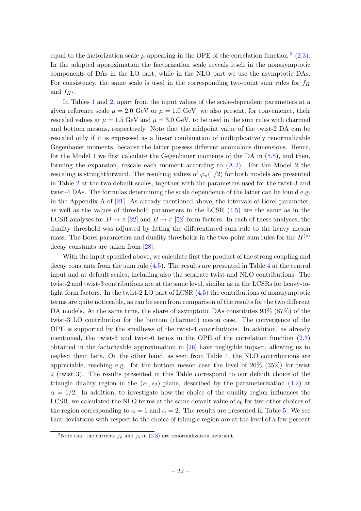equal to the factorization scale  $\mu$  appearing in the OPE of the correlation function  $3$  [\(2.3\)](#page-4-2). In the adopted approximation the factorization scale reveals itself in the nonasymptotic components of DAs in the LO part, while in the NLO part we use the asymptotic DAs. For consistency, the same scale is used in the corresponding two-point sum rules for  $f_H$ and  $f_{H^*}$ .

In Tables [1](#page-18-0) and [2,](#page-20-0) apart from the input values of the scale-dependent parameters at a given reference scale  $\mu = 2.0$  GeV or  $\mu = 1.0$  GeV, we also present, for convenience, their rescaled values at  $\mu = 1.5$  GeV and  $\mu = 3.0$  GeV, to be used in the sum rules with charmed and bottom mesons, respectively. Note that the midpoint value of the twist-2 DA can be rescaled only if it is expressed as a linear combination of multiplicatively renormalizable Gegenbauer moments, because the latter possess different anomalous dimensions. Hence, for the Model 1 we first calculate the Gegenbauer moments of the DA in [\(5.5\)](#page-19-1), and then, forming the expansion, rescale each moment according to [\(A.2\)](#page-32-3). For the Model 2 the rescaling is straightforward. The resulting values of  $\varphi_{\pi}(1/2)$  for both models are presented in Table [2](#page-20-0) at the two default scales, together with the parameters used for the twist-3 and twist-4 DAs. The formulas determining the scale dependence of the latter can be found e.g. in the Appendix A of [\[21\]](#page-39-12). As already mentioned above, the intervals of Borel parameter, as well as the values of threshold parameters in the LCSR [\(4.5\)](#page-14-1) are the same as in the LCSR analyses for  $D \to \pi$  [\[22\]](#page-39-5) and  $B \to \pi$  [\[52\]](#page-41-3) form factors. In each of these analyses, the duality threshold was adjusted by fitting the differentiated sum rule to the heavy meson mass. The Borel parameters and duality thresholds in the two-point sum rules for the  $H^{(*)}$ decay constants are taken from [\[28\]](#page-39-11).

With the input specified above, we calculate first the product of the strong coupling and decay constants from the sum rule [\(4.5\)](#page-14-1). The results are presented in Table [4](#page-23-0) at the central input and at default scales, including also the separate twist and NLO contributions. The twist-2 and twist-3 contributions are at the same level, similar as in the LCSRs for heavy-tolight form factors. In the twist-2 LO part of LCSR [\(4.5\)](#page-14-1) the contributions of nonasymptotic terms are quite noticeable, as can be seen from comparison of the results for the two different DA models. At the same time, the share of asymptotic DAs constitutes 93% (87%) of the twist-3 LO contribution for the bottom (charmed) meson case. The convergence of the OPE is supported by the smallness of the twist-4 contributions. In addition, as already mentioned, the twist-5 and twist-6 terms in the OPE of the correlation function [\(2.3\)](#page-4-2) obtained in the factorizable approximation in [\[26\]](#page-39-9) have negligible impact, allowing us to neglect them here. On the other hand, as seen from Table [4,](#page-23-0) the NLO contributions are appreciable, reaching e.g. for the bottom meson case the level of  $20\%$  (35%) for twist 2 (twist 3). The results presented in this Table correspond to our default choice of the triangle duality region in the  $(s_1, s_2)$  plane, described by the parameterization  $(4.2)$  at  $\alpha = 1/2$ . In addition, to investigate how the choice of the duality region influences the LCSR, we calculated the NLO terms at the same default value of  $s_0$  for two other choices of the region corresponding to  $\alpha = 1$  and  $\alpha = 2$ . The results are presented in Table [5.](#page-23-1) We see that deviations with respect to the choice of triangle region are at the level of a few percent

<span id="page-22-0"></span><sup>&</sup>lt;sup>3</sup>Note that the currents  $j_{\mu}$  and  $j_{5}$  in [\(2.3\)](#page-4-2) are renormalization invariant.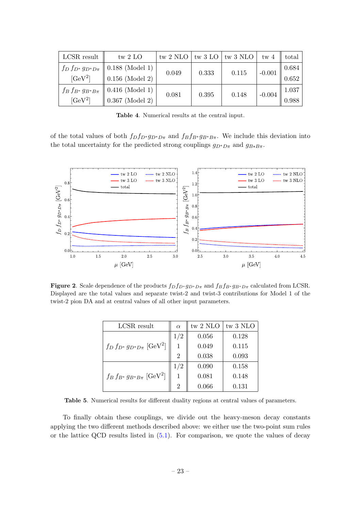| LCSR result                 | tw $2$ LO            |       |       | tw 2 NLO $\vert$ tw 3 LO $\vert$ tw 3 NLO $\vert$ | tw <sub>4</sub> | total |
|-----------------------------|----------------------|-------|-------|---------------------------------------------------|-----------------|-------|
| $f_D\,f_{D^*}\,g_{D^*D\pi}$ | $0.188$ (Model 1)    | 0.049 | 0.333 | 0.115                                             | $-0.001$        | 0.684 |
| $[GeV^2]$                   | $0.156$ (Model 2)    |       |       |                                                   |                 | 0.652 |
| $f_B f_{B^*} g_{B^*B\pi}$   | $0.416$ (Model 1)    | 0.081 | 0.395 | 0.148                                             | $-0.004$        | 1.037 |
| $[GeV^2]$                   | $\,$ 0.367 (Model 2) |       |       |                                                   |                 | 0.988 |

<span id="page-23-0"></span>Table 4. Numerical results at the central input.

of the total values of both  $f_D f_{D^*} g_{D^*D\pi}$  and  $f_B f_{B^*} g_{B^*B\pi}$ . We include this deviation into the total uncertainty for the predicted strong couplings  $g_{D^*D\pi}$  and  $g_{B*B\pi}$ .



Figure 2. Scale dependence of the products  $f_D f_{D^*} g_{D^*D\pi}$  and  $f_B f_{B^*} g_{B^*D\pi}$  calculated from LCSR. Displayed are the total values and separate twist-2 and twist-3 contributions for Model 1 of the twist-2 pion DA and at central values of all other input parameters.

| LCSR result                                   | $\alpha$       | tw $2 NLO$ | tw 3 NLO |
|-----------------------------------------------|----------------|------------|----------|
|                                               | 1/2            | 0.056      | 0.128    |
| $f_D f_{D^*} g_{D^*D\pi}$ [GeV <sup>2</sup> ] |                | 0.049      | 0.115    |
|                                               | 2              | 0.038      | 0.093    |
|                                               | 1/2            | 0.090      | 0.158    |
| $f_B f_{B^*} g_{B^*B\pi}$ [GeV <sup>2</sup> ] |                | 0.081      | 0.148    |
|                                               | $\overline{2}$ | 0.066      | 0.131    |

<span id="page-23-1"></span>Table 5. Numerical results for different duality regions at central values of parameters.

To finally obtain these couplings, we divide out the heavy-meson decay constants applying the two different methods described above: we either use the two-point sum rules or the lattice QCD results listed in [\(5.1\)](#page-17-3). For comparison, we quote the values of decay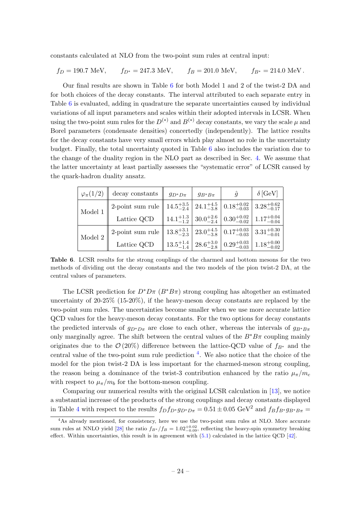constants calculated at NLO from the two-point sum rules at central input:

$$
f_D = 190.7 \text{ MeV}, \qquad f_{D^*} = 247.3 \text{ MeV}, \qquad f_B = 201.0 \text{ MeV}, \qquad f_{B^*} = 214.0 \text{ MeV}.
$$

Our final results are shown in Table [6](#page-24-0) for both Model 1 and 2 of the twist-2 DA and for both choices of the decay constants. The interval attributed to each separate entry in Table [6](#page-24-0) is evaluated, adding in quadrature the separate uncertainties caused by individual variations of all input parameters and scales within their adopted intervals in LCSR. When using the two-point sum rules for the  $D^{(*)}$  and  $B^{(*)}$  decay constants, we vary the scale  $\mu$  and Borel parameters (condensate densities) concertedly (independently). The lattice results for the decay constants have very small errors which play almost no role in the uncertainty budget. Finally, the total uncertainty quoted in Table [6](#page-24-0) also includes the variation due to the change of the duality region in the NLO part as described in Sec. [4.](#page-12-0) We assume that the latter uncertainty at least partially assesses the "systematic error" of LCSR caused by the quark-hadron duality ansatz.

| $\varphi_{\pi}(1/2)$         | decay constants $\parallel$ $g_{D^*D\pi}$   $g_{B^*B\pi}$                                                                                                                                                                                                                                                                                                      |  | $\hat{g}$ | $\delta$ [GeV] |
|------------------------------|----------------------------------------------------------------------------------------------------------------------------------------------------------------------------------------------------------------------------------------------------------------------------------------------------------------------------------------------------------------|--|-----------|----------------|
| $\,$ Model 1 $^{\, \dagger}$ |                                                                                                                                                                                                                                                                                                                                                                |  |           |                |
|                              | $\begin{array}{ l c c c c } \hline \end{array} \begin{array}{ l c c c c c } \hline \end{array} \begin{array}{ l c c c c c } \hline \end{array} \begin{array}{ l c c c c c } \hline \end{array} \begin{array}{ l c c c c } \hline \begin{array}{ l c c c c } \hline 14.5^{+3.5}_{-2.4} & 24.1^{+4.5}_{-3.8} & 0.18^{+0.02}_{-0.03} & 3.28^{+0.62}_{-0.17} \ \h$ |  |           |                |
|                              | $\overline{\text{Model 2}} \parallel \text{2-point sum rule} \parallel 13.8^{+3.1}_{-2.3} \parallel 23.0^{+4.5}_{-3.8} \parallel 0.17^{+0.03}_{-0.03} \parallel 3.31^{+0.30}_{-0.01} \nonumber \ \text{Lattice QCD} \parallel 13.5^{+1.4}_{-1.4} \parallel 28.6^{+3.0}_{-2.8} \parallel 0.29^{+0.03}_{-0.03} \parallel 1.18^{+0.00}_{-0.02}$                   |  |           |                |
|                              |                                                                                                                                                                                                                                                                                                                                                                |  |           |                |

<span id="page-24-0"></span>Table 6. LCSR results for the strong couplings of the charmed and bottom mesons for the two methods of dividing out the decay constants and the two models of the pion twist-2 DA, at the central values of parameters.

The LCSR prediction for  $D^*D\pi$  ( $B^*B\pi$ ) strong coupling has altogether an estimated uncertainty of  $20-25\%$  (15-20%), if the heavy-meson decay constants are replaced by the two-point sum rules. The uncertainties become smaller when we use more accurate lattice QCD values for the heavy-meson decay constants. For the two options for decay constants the predicted intervals of  $g_{D^*D\pi}$  are close to each other, whereas the intervals of  $g_{B^*B\pi}$ only marginally agree. The shift between the central values of the  $B^*B\pi$  coupling mainly originates due to the  $\mathcal{O}(20\%)$  difference between the lattice-QCD value of  $f_{B^*}$  and the central value of the two-point sum rule prediction <sup>[4](#page-24-1)</sup>. We also notice that the choice of the model for the pion twist-2 DA is less important for the charmed-meson strong coupling, the reason being a dominance of the twist-3 contribution enhanced by the ratio  $\mu_{\pi}/m_c$ with respect to  $\mu_{\pi}/m_b$  for the bottom-meson coupling.

Comparing our numerical results with the original LCSR calculation in [\[13\]](#page-39-0), we notice a substantial increase of the products of the strong couplings and decay constants displayed in Table [4](#page-23-0) with respect to the results  $f_D f_{D^*} g_{D^*D\pi} = 0.51 \pm 0.05 \text{ GeV}^2$  and  $f_B f_{B^*} g_{B^*B\pi} =$ 

<span id="page-24-1"></span><sup>&</sup>lt;sup>4</sup>As already mentioned, for consistency, here we use the two-point sum rules at NLO. More accurate sum rules at NNLO yield [\[28\]](#page-39-11) the ratio  $f_{B*}/f_B = 1.02^{+0.02}_{-0.09}$ , reflecting the heavy-spin symmetry breaking effect. Within uncertainties, this result is in agreement with  $(5.1)$  calculated in the lattice QCD  $[42]$ .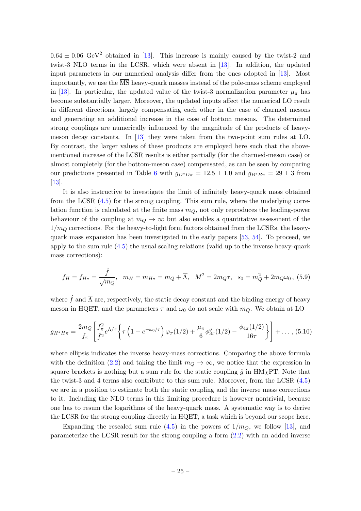$0.64 \pm 0.06$  GeV<sup>2</sup> obtained in [\[13\]](#page-39-0). This increase is mainly caused by the twist-2 and twist-3 NLO terms in the LCSR, which were absent in [\[13\]](#page-39-0). In addition, the updated input parameters in our numerical analysis differ from the ones adopted in [\[13\]](#page-39-0). Most importantly, we use the  $\overline{\text{MS}}$  heavy-quark masses instead of the pole-mass scheme employed in [\[13\]](#page-39-0). In particular, the updated value of the twist-3 normalization parameter  $\mu_{\pi}$  has become substantially larger. Moreover, the updated inputs affect the numerical LO result in different directions, largely compensating each other in the case of charmed mesons and generating an additional increase in the case of bottom mesons. The determined strong couplings are numerically influenced by the magnitude of the products of heavymeson decay constants. In [\[13\]](#page-39-0) they were taken from the two-point sum rules at LO. By contrast, the larger values of these products are employed here such that the abovementioned increase of the LCSR results is either partially (for the charmed-meson case) or almost completely (for the bottom-meson case) compensated, as can be seen by comparing our predictions presented in Table [6](#page-24-0) with  $g_{D^*D\pi} = 12.5 \pm 1.0$  and  $g_{B^*B\pi} = 29 \pm 3$  from [\[13\]](#page-39-0).

It is also instructive to investigate the limit of infinitely heavy-quark mass obtained from the LCSR [\(4.5\)](#page-14-1) for the strong coupling. This sum rule, where the underlying correlation function is calculated at the finite mass  $m<sub>O</sub>$ , not only reproduces the leading-power behaviour of the coupling at  $m_Q \to \infty$  but also enables a quantitative assessment of the  $1/m<sub>O</sub>$  corrections. For the heavy-to-light form factors obtained from the LCSRs, the heavyquark mass expansion has been investigated in the early papers [\[53,](#page-41-4) [54\]](#page-41-5). To proceed, we apply to the sum rule [\(4.5\)](#page-14-1) the usual scaling relations (valid up to the inverse heavy-quark mass corrections):

$$
f_H = f_{H*} = \frac{\hat{f}}{\sqrt{m_Q}}, \quad m_H = m_{H*} = m_Q + \overline{\Lambda}, \quad M^2 = 2m_Q\tau, \quad s_0 = m_Q^2 + 2m_Q\omega_0, \quad (5.9)
$$

where  $\hat{f}$  and  $\overline{\Lambda}$  are, respectively, the static decay constant and the binding energy of heavy meson in HQET, and the parameters  $\tau$  and  $\omega_0$  do not scale with  $m_Q$ . We obtain at LO

$$
g_{H^*H\pi} = \frac{2m_Q}{f_\pi} \left[ \frac{f_\pi^2}{\hat{f}^2} e^{\overline{\Lambda}/\tau} \left\{ \tau \left( 1 - e^{-\omega_0/\tau} \right) \varphi_\pi(1/2) + \frac{\mu_\pi}{6} \phi_{3\pi}^\sigma(1/2) - \frac{\phi_{4\pi}(1/2)}{16\tau} \right\} \right] + \dots, (5.10)
$$

where ellipsis indicates the inverse heavy-mass corrections. Comparing the above formula with the definition [\(2.2\)](#page-4-4) and taking the limit  $m_Q \to \infty$ , we notice that the expression in square brackets is nothing but a sum rule for the static coupling  $\hat{g}$  in HM<sub>X</sub>PT. Note that the twist-3 and 4 terms also contribute to this sum rule. Moreover, from the LCSR [\(4.5\)](#page-14-1) we are in a position to estimate both the static coupling and the inverse mass corrections to it. Including the NLO terms in this limiting procedure is however nontrivial, because one has to resum the logarithms of the heavy-quark mass. A systematic way is to derive the LCSR for the strong coupling directly in HQET, a task which is beyond our scope here.

Expanding the rescaled sum rule  $(4.5)$  in the powers of  $1/m<sub>O</sub>$ , we follow [\[13\]](#page-39-0), and parameterize the LCSR result for the strong coupling a form [\(2.2\)](#page-4-4) with an added inverse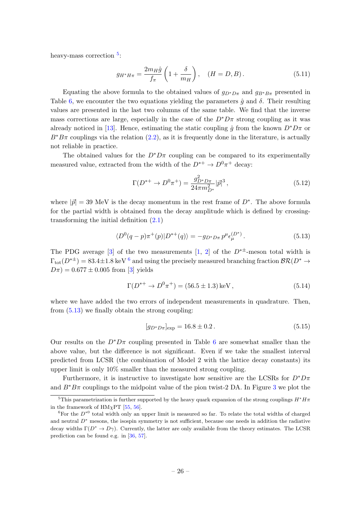heavy-mass correction <sup>[5](#page-26-0)</sup>:

<span id="page-26-4"></span>
$$
g_{H^*H\pi} = \frac{2m_H\hat{g}}{f_{\pi}} \left( 1 + \frac{\delta}{m_H} \right), \quad (H = D, B). \tag{5.11}
$$

Equating the above formula to the obtained values of  $g_{D^*D\pi}$  and  $g_{B^*B\pi}$  presented in Table [6,](#page-24-0) we encounter the two equations yielding the parameters  $\hat{q}$  and  $\delta$ . Their resulting values are presented in the last two columns of the same table. We find that the inverse mass corrections are large, especially in the case of the  $D^*D\pi$  strong coupling as it was already noticed in [\[13\]](#page-39-0). Hence, estimating the static coupling  $\hat{g}$  from the known  $D^*D\pi$  or  $B^*B\pi$  couplings via the relation [\(2.2\)](#page-4-4), as it is frequently done in the literature, is actually not reliable in practice.

The obtained values for the  $D^*D\pi$  coupling can be compared to its experimentally measured value, extracted from the width of the  $D^{*+} \to D^0 \pi^+$  decay:

$$
\Gamma(D^{*+} \to D^0 \pi^+) = \frac{g_{D^* D \pi}^2}{24 \pi m_{D^*}^2} |\vec{p}|^3 \,, \tag{5.12}
$$

where  $|\vec{p}| = 39$  MeV is the decay momentum in the rest frame of  $D^*$ . The above formula for the partial width is obtained from the decay amplitude which is defined by crossingtransforming the initial definition [\(2.1\)](#page-4-1)

<span id="page-26-2"></span>
$$
\langle D^{0}(q-p)\pi^{+}(p)|D^{*+}(q)\rangle = -g_{D^{*}D\pi}p^{\mu}\epsilon_{\mu}^{(D^{*})}.
$$
\n(5.13)

The PDG average [\[3\]](#page-38-1) of the two measurements [\[1,](#page-38-0) [2\]](#page-38-6) of the  $D^{*\pm}$ -meson total width is  $\Gamma_{\text{tot}}(D^{*\pm}) = 83.4 \pm 1.8 \text{ keV}^6$  $\Gamma_{\text{tot}}(D^{*\pm}) = 83.4 \pm 1.8 \text{ keV}^6$  and using the precisely measured branching fraction  $\mathcal{BR}(D^* \to \mathbb{R})$  $D\pi$ ) = 0.677 ± 0.005 from [\[3\]](#page-38-1) yields

$$
\Gamma(D^{*+} \to D^0 \pi^+) = (56.5 \pm 1.3) \,\text{keV} \,,\tag{5.14}
$$

where we have added the two errors of independent measurements in quadrature. Then, from [\(5.13\)](#page-26-2) we finally obtain the strong coupling:

<span id="page-26-3"></span>
$$
[g_{D^*D\pi}]_{\text{exp}} = 16.8 \pm 0.2. \tag{5.15}
$$

Our results on the  $D^*D\pi$  coupling presented in Table [6](#page-24-0) are somewhat smaller than the above value, but the difference is not significant. Even if we take the smallest interval predicted from LCSR (the combination of Model 2 with the lattice decay constants) its upper limit is only 10% smaller than the measured strong coupling.

Furthermore, it is instructive to investigate how sensitive are the LCSRs for  $D^*D\pi$ and  $B^*B\pi$  couplings to the midpoint value of the pion twist-2 DA. In Figure [3](#page-27-0) we plot the

<span id="page-26-0"></span><sup>&</sup>lt;sup>5</sup>This parametrization is further supported by the heavy quark expansion of the strong couplings  $H^*H\pi$ in the framework of  $HM_{\chi}PT$  [\[55,](#page-41-6) [56\]](#page-41-7).

<span id="page-26-1"></span> ${}^6$ For the  $D^*{}^0$  total width only an upper limit is measured so far. To relate the total widths of charged and neutral  $D^*$  mesons, the isospin symmetry is not sufficient, because one needs in addition the radiative decay widths  $\Gamma(D^* \to D\gamma)$ . Currently, the latter are only available from the theory estimates. The LCSR prediction can be found e.g. in [\[36,](#page-40-5) [57\]](#page-41-8).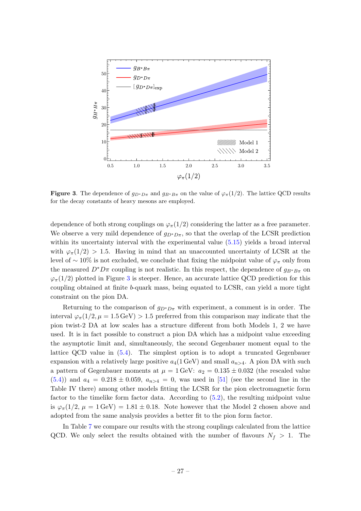

<span id="page-27-0"></span>**Figure 3.** The dependence of  $g_{D^*D\pi}$  and  $g_{B^*B\pi}$  on the value of  $\varphi_\pi(1/2)$ . The lattice QCD results for the decay constants of heavy mesons are employed.

dependence of both strong couplings on  $\varphi_{\pi}(1/2)$  considering the latter as a free parameter. We observe a very mild dependence of  $g_{D^*D\pi}$ , so that the overlap of the LCSR prediction within its uncertainty interval with the experimental value [\(5.15\)](#page-26-3) yields a broad interval with  $\varphi_{\pi}(1/2) > 1.5$ . Having in mind that an unaccounted uncertainty of LCSR at the level of  $\sim 10\%$  is not excluded, we conclude that fixing the midpoint value of  $\varphi_{\pi}$  only from the measured  $D^*D\pi$  coupling is not realistic. In this respect, the dependence of  $g_{B^*B\pi}$  on  $\varphi_{\pi}(1/2)$  plotted in Figure [3](#page-27-0) is steeper. Hence, an accurate lattice QCD prediction for this coupling obtained at finite b-quark mass, being equated to LCSR, can yield a more tight constraint on the pion DA.

Returning to the comparison of  $g_{D^*D\pi}$  with experiment, a comment is in order. The interval  $\varphi_{\pi}(1/2, \mu = 1.5 \,\text{GeV}) > 1.5$  preferred from this comparison may indicate that the pion twist-2 DA at low scales has a structure different from both Models 1, 2 we have used. It is in fact possible to construct a pion DA which has a midpoint value exceeding the asymptotic limit and, simultaneously, the second Gegenbauer moment equal to the lattice QCD value in [\(5.4\)](#page-19-0). The simplest option is to adopt a truncated Gegenbauer expansion with a relatively large positive  $a_4(1 \text{ GeV})$  and small  $a_{n>4}$ . A pion DA with such a pattern of Gegenbauer moments at  $\mu = 1$  GeV:  $a_2 = 0.135 \pm 0.032$  (the rescaled value  $(5.4)$ ) and  $a_4 = 0.218 \pm 0.059$ ,  $a_{n>4} = 0$ , was used in [\[51\]](#page-41-2) (see the second line in the Table IV there) among other models fitting the LCSR for the pion electromagnetic form factor to the timelike form factor data. According to [\(5.2\)](#page-19-2), the resulting midpoint value is  $\varphi_{\pi}(1/2, \mu = 1 \text{ GeV}) = 1.81 \pm 0.18$ . Note however that the Model 2 chosen above and adopted from the same analysis provides a better fit to the pion form factor.

In Table [7](#page-28-0) we compare our results with the strong couplings calculated from the lattice QCD. We only select the results obtained with the number of flavours  $N_f > 1$ . The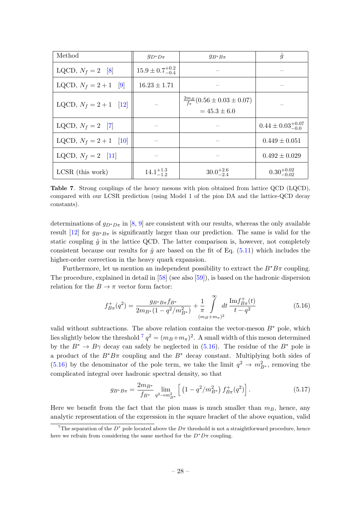| Method                   | $g_{D^*D\pi}$                | $g_{B^*B\pi}$                                                      | $\hat{g}$                      |
|--------------------------|------------------------------|--------------------------------------------------------------------|--------------------------------|
| LQCD, $N_f = 2$ [8]      | $15.9 \pm 0.7^{+0.2}_{-0.4}$ |                                                                    |                                |
| LQCD, $N_f = 2 + 1$ [9]  | $16.23 \pm 1.71$             |                                                                    |                                |
| LQCD, $N_f = 2 + 1$ [12] |                              | $\frac{2m_B}{f_{\pi}}(0.56 \pm 0.03 \pm 0.07)$<br>$= 45.3 \pm 6.0$ |                                |
| LQCD, $N_f = 2$ [7]      |                              |                                                                    | $0.44 \pm 0.03_{-0.0}^{+0.07}$ |
| LQCD, $N_f = 2 + 1$ [10] |                              |                                                                    | $0.449 \pm 0.051$              |
| LQCD, $N_f = 2$ [11]     |                              |                                                                    | $0.492 \pm 0.029$              |
| $LCSR$ (this work)       | $14.1^{+1.3}_{-1.2}$         | $30.0^{+2.6}_{-2.4}$                                               | $0.30^{+0.02}_{-0.02}$         |

<span id="page-28-0"></span>Table 7. Strong couplings of the heavy mesons with pion obtained from lattice QCD (LQCD), compared with our LCSR prediction (using Model 1 of the pion DA and the lattice-QCD decay constants).

determinations of  $g_{D^*D\pi}$  in [\[8,](#page-38-7) [9\]](#page-38-8) are consistent with our results, whereas the only available result [\[12\]](#page-38-5) for  $g_{B^*B\pi}$  is significantly larger than our prediction. The same is valid for the static coupling  $\hat{g}$  in the lattice QCD. The latter comparison is, however, not completely consistent because our results for  $\hat{q}$  are based on the fit of Eq. [\(5.11\)](#page-26-4) which includes the higher-order correction in the heavy quark expansion.

Furthermore, let us mention an independent possibility to extract the  $B^*B\pi$  coupling. The procedure, explained in detail in [\[58\]](#page-41-9) (see also [\[59\]](#page-41-10)), is based on the hadronic dispersion relation for the  $B \to \pi$  vector form factor:

<span id="page-28-2"></span>
$$
f_{B\pi}^+(q^2) = \frac{g_{B^*B\pi}f_{B^*}}{2m_{B^*}(1-q^2/m_{B^*}^2)} + \frac{1}{\pi} \int_{(m_B+m_\pi)^2}^{\infty} dt \frac{\text{Im}f_{B\pi}^+(t)}{t-q^2}
$$
(5.16)

valid without subtractions. The above relation contains the vector-meson  $B^*$  pole, which lies slightly below the threshold <sup>[7](#page-28-1)</sup>  $q^2 = (m_B + m_\pi)^2$ . A small width of this meson determined by the  $B^* \to B\gamma$  decay can safely be neglected in [\(5.16\)](#page-28-2). The residue of the  $B^*$  pole is a product of the  $B^*B\pi$  coupling and the  $B^*$  decay constant. Multiplying both sides of [\(5.16\)](#page-28-2) by the denominator of the pole term, we take the limit  $q^2 \to m_{B^*}^2$ , removing the complicated integral over hadronic spectral density, so that

<span id="page-28-3"></span>
$$
g_{B^*B\pi} = \frac{2m_{B^*}}{f_{B^*}} \lim_{q^2 \to m_{B^*}^2} \left[ \left( 1 - q^2 / m_{B^*}^2 \right) f_{B\pi}^+(q^2) \right]. \tag{5.17}
$$

Here we benefit from the fact that the pion mass is much smaller than  $m_B$ , hence, any analytic representation of the expression in the square bracket of the above equation, valid

<span id="page-28-1"></span><sup>&</sup>lt;sup>7</sup>The separation of the  $D^*$  pole located above the  $D\pi$  threshold is not a straightforward procedure, hence here we refrain from considering the same method for the  $D^*D\pi$  coupling.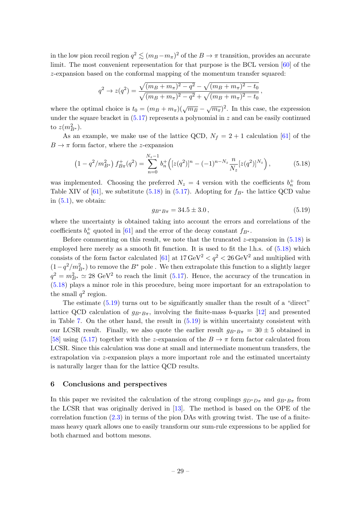in the low pion recoil region  $q^2 \lesssim (m_B - m_\pi)^2$  of the  $B \to \pi$  transition, provides an accurate limit. The most convenient representation for that purpose is the BCL version [\[60\]](#page-41-11) of the z-expansion based on the conformal mapping of the momentum transfer squared:

$$
q^{2} \rightarrow z(q^{2}) = \frac{\sqrt{(m_{B} + m_{\pi})^{2} - q^{2}} - \sqrt{(m_{B} + m_{\pi})^{2} - t_{0}}}{\sqrt{(m_{B} + m_{\pi})^{2} - q^{2}} + \sqrt{(m_{B} + m_{\pi})^{2} - t_{0}}},
$$

where the optimal choice is  $t_0 = (m_B + m_\pi)(\sqrt{m_B} - \sqrt{m_\pi})^2$ . In this case, the expression under the square bracket in  $(5.17)$  represents a polynomial in z and can be easily continued to  $z(m_{B^*}^2)$ .

As an example, we make use of the lattice QCD,  $N_f = 2 + 1$  calculation [\[61\]](#page-41-12) of the  $B \to \pi$  form factor, where the *z*-expansion

<span id="page-29-1"></span>
$$
\left(1 - q^2/m_{B^*}^2\right) f_{B\pi}^+(q^2) = \sum_{n=0}^{N_z - 1} b_n^+ \left( [z(q^2)]^n - (-1)^{n - N_z} \frac{n}{N_z} [z(q^2)]^{N_z} \right),\tag{5.18}
$$

was implemented. Choosing the preferred  $N_z = 4$  version with the coefficients  $b_n^+$  from Table XIV of [\[61\]](#page-41-12), we substitute [\(5.18\)](#page-29-1) in [\(5.17\)](#page-28-3). Adopting for  $f_{B^*}$  the lattice QCD value in  $(5.1)$ , we obtain:

<span id="page-29-2"></span>
$$
g_{B^*B\pi} = 34.5 \pm 3.0\,,\tag{5.19}
$$

where the uncertainty is obtained taking into account the errors and correlations of the coefficients  $b_n^+$  quoted in [\[61\]](#page-41-12) and the error of the decay constant  $f_{B^*}$ .

Before commenting on this result, we note that the truncated  $z$ -expansion in  $(5.18)$  is employed here merely as a smooth fit function. It is used to fit the l.h.s. of [\(5.18\)](#page-29-1) which consists of the form factor calculated [\[61\]](#page-41-12) at  $17 \,\text{GeV}^2 < q^2 < 26 \,\text{GeV}^2$  and multiplied with  $(1-q^2/m_{B^*}^2)$  to remove the  $B^*$  pole. We then extrapolate this function to a slightly larger  $q^2 = m_{B^*}^2 \simeq 28 \text{ GeV}^2$  to reach the limit [\(5.17\)](#page-28-3). Hence, the accuracy of the truncation in [\(5.18\)](#page-29-1) plays a minor role in this procedure, being more important for an extrapolation to the small  $q^2$  region.

The estimate [\(5.19\)](#page-29-2) turns out to be significantly smaller than the result of a "direct" lattice QCD calculation of  $g_{B^*B\pi}$ , involving the finite-mass b-quarks [\[12\]](#page-38-5) and presented in Table [7.](#page-28-0) On the other hand, the result in [\(5.19\)](#page-29-2) is within uncertainty consistent with our LCSR result. Finally, we also quote the earlier result  $g_{B^*B\pi} = 30 \pm 5$  obtained in [\[58\]](#page-41-9) using [\(5.17\)](#page-28-3) together with the z-expansion of the  $B \to \pi$  form factor calculated from LCSR. Since this calculation was done at small and intermediate momentum transfers, the extrapolation via z-expansion plays a more important role and the estimated uncertainty is naturally larger than for the lattice QCD results.

#### <span id="page-29-0"></span>6 Conclusions and perspectives

In this paper we revisited the calculation of the strong couplings  $g_{D^*D\pi}$  and  $g_{B^*B\pi}$  from the LCSR that was originally derived in [\[13\]](#page-39-0). The method is based on the OPE of the correlation function  $(2.3)$  in terms of the pion DAs with growing twist. The use of a finitemass heavy quark allows one to easily transform our sum-rule expressions to be applied for both charmed and bottom mesons.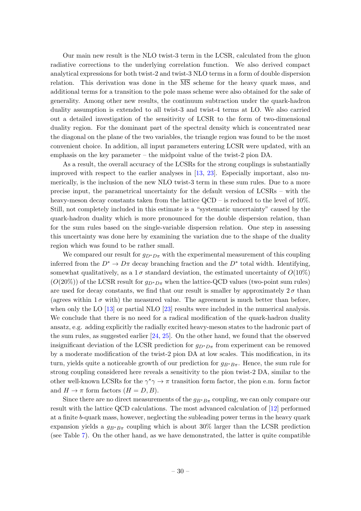Our main new result is the NLO twist-3 term in the LCSR, calculated from the gluon radiative corrections to the underlying correlation function. We also derived compact analytical expressions for both twist-2 and twist-3 NLO terms in a form of double dispersion relation. This derivation was done in the  $\overline{\text{MS}}$  scheme for the heavy quark mass, and additional terms for a transition to the pole mass scheme were also obtained for the sake of generality. Among other new results, the continuum subtraction under the quark-hadron duality assumption is extended to all twist-3 and twist-4 terms at LO. We also carried out a detailed investigation of the sensitivity of LCSR to the form of two-dimensional duality region. For the dominant part of the spectral density which is concentrated near the diagonal on the plane of the two variables, the triangle region was found to be the most convenient choice. In addition, all input parameters entering LCSR were updated, with an emphasis on the key parameter – the midpoint value of the twist-2 pion DA.

As a result, the overall accuracy of the LCSRs for the strong couplings is substantially improved with respect to the earlier analyses in [\[13,](#page-39-0) [23\]](#page-39-6). Especially important, also numerically, is the inclusion of the new NLO twist-3 term in these sum rules. Due to a more precise input, the parametrical uncertainty for the default version of LCSRs – with the heavy-meson decay constants taken from the lattice QCD – is reduced to the level of 10%. Still, not completely included in this estimate is a "systematic uncertainty" caused by the quark-hadron duality which is more pronounced for the double dispersion relation, than for the sum rules based on the single-variable dispersion relation. One step in assessing this uncertainty was done here by examining the variation due to the shape of the duality region which was found to be rather small.

We compared our result for  $g_{D^*D\pi}$  with the experimental measurement of this coupling inferred from the  $D^* \to D\pi$  decay branching fraction and the  $D^*$  total width. Identifying, somewhat qualitatively, as a  $1\sigma$  standard deviation, the estimated uncertainty of  $O(10\%)$  $(O(20\%))$  of the LCSR result for  $g_{D^*D\pi}$  when the lattice-QCD values (two-point sum rules) are used for decay constants, we find that our result is smaller by approximately  $2\sigma$  than (agrees within  $1\sigma$  with) the measured value. The agreement is much better than before, when only the LO [\[13\]](#page-39-0) or partial NLO [\[23\]](#page-39-6) results were included in the numerical analysis. We conclude that there is no need for a radical modification of the quark-hadron duality ansatz, e.g. adding explicitly the radially excited heavy-meson states to the hadronic part of the sum rules, as suggested earlier [\[24,](#page-39-7) [25\]](#page-39-8). On the other hand, we found that the observed insignificant deviation of the LCSR prediction for  $g_{D^*D_{\pi}}$  from experiment can be removed by a moderate modification of the twist-2 pion DA at low scales. This modification, in its turn, yields quite a noticeable growth of our prediction for  $g_{B^*B\pi}$ . Hence, the sum rule for strong coupling considered here reveals a sensitivity to the pion twist-2 DA, similar to the other well-known LCSRs for the  $\gamma^* \gamma \to \pi$  transition form factor, the pion e.m. form factor and  $H \to \pi$  form factors  $(H = D, B)$ .

Since there are no direct measurements of the  $g_{B*}B_{\pi}$  coupling, we can only compare our result with the lattice QCD calculations. The most advanced calculation of [\[12\]](#page-38-5) performed at a finite b-quark mass, however, neglecting the subleading power terms in the heavy quark expansion yields a  $g_{B^*B_{\pi}}$  coupling which is about 30% larger than the LCSR prediction (see Table [7\)](#page-28-0). On the other hand, as we have demonstrated, the latter is quite compatible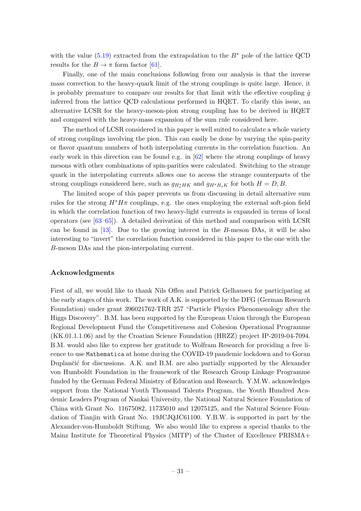with the value [\(5.19\)](#page-29-2) extracted from the extrapolation to the  $B^*$  pole of the lattice QCD results for the  $B \to \pi$  form factor [\[61\]](#page-41-12).

Finally, one of the main conclusions following from our analysis is that the inverse mass correction to the heavy-quark limit of the strong couplings is quite large. Hence, it is probably premature to compare our results for that limit with the effective coupling  $\hat{q}$ inferred from the lattice QCD calculations performed in HQET. To clarify this issue, an alternative LCSR for the heavy-meson-pion strong coupling has to be derived in HQET and compared with the heavy-mass expansion of the sum rule considered here.

The method of LCSR considered in this paper is well suited to calculate a whole variety of strong couplings involving the pion. This can easily be done by varying the spin-parity or flavor quantum numbers of both interpolating currents in the correlation function. An early work in this direction can be found e.g. in [\[62\]](#page-41-13) where the strong couplings of heavy mesons with other combinations of spin-parities were calculated. Switching to the strange quark in the interpolating currents allows one to access the strange counterparts of the strong couplings considered here, such as  $g_{H^*HK}$  and  $g_{H^*H_sK}$  for both  $H = D, B$ .

The limited scope of this paper prevents us from discussing in detail alternative sum rules for the strong  $H^*H\pi$  couplings, e.g. the ones employing the external soft-pion field in which the correlation function of two heavy-light currents is expanded in terms of local operators (see [\[63](#page-41-14)[–65\]](#page-41-15)). A detailed derivation of this method and comparison with LCSR can be found in [\[13\]](#page-39-0). Due to the growing interest in the B-meson DAs, it will be also interesting to "invert" the correlation function considered in this paper to the one with the B-meson DAs and the pion-interpolating current.

## Acknowledgments

First of all, we would like to thank Nils Offen and Patrick Gelhausen for participating at the early stages of this work. The work of A.K. is supported by the DFG (German Research Foundation) under grant 396021762-TRR 257 "Particle Physics Phenomenology after the Higgs Discovery". B.M. has been supported by the European Union through the European Regional Development Fund the Competitiveness and Cohesion Operational Programme (KK.01.1.1.06) and by the Croatian Science Foundation (HRZZ) project IP-2019-04-7094. B.M. would also like to express her gratitude to Wolfram Research for providing a free licence to use Mathematica at home during the COVID-19 pandemic lockdown and to Goran Duplančić for discussions. A.K. and B.M. are also partially supported by the Alexander von Humboldt Foundation in the framework of the Research Group Linkage Programme funded by the German Federal Ministry of Education and Research. Y.M.W. acknowledges support from the National Youth Thousand Talents Program, the Youth Hundred Academic Leaders Program of Nankai University, the National Natural Science Foundation of China with Grant No. 11675082, 11735010 and 12075125, and the Natural Science Foundation of Tianjin with Grant No. 19JCJQJC61100. Y.B.W. is supported in part by the Alexander-von-Humboldt Stiftung. We also would like to express a special thanks to the Mainz Institute for Theoretical Physics (MITP) of the Cluster of Excellence PRISMA+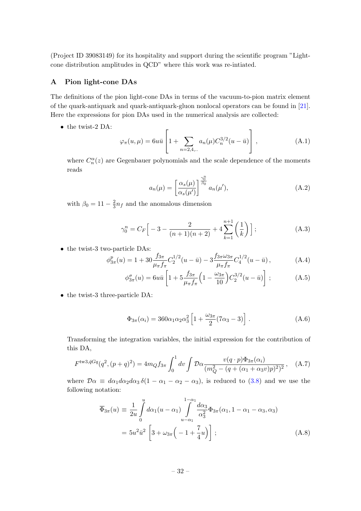(Project ID 39083149) for its hospitality and support during the scientific program "Lightcone distribution amplitudes in QCD" where this work was re-intiated.

## <span id="page-32-0"></span>A Pion light-cone DAs

The definitions of the pion light-cone DAs in terms of the vacuum-to-pion matrix element of the quark-antiquark and quark-antiquark-gluon nonlocal operators can be found in [\[21\]](#page-39-12). Here the expressions for pion DAs used in the numerical analysis are collected:

• the twist-2 DA:

$$
\varphi_{\pi}(u,\mu) = 6u\bar{u} \left[ 1 + \sum_{n=2,4,\dots} a_n(\mu) C_n^{3/2} (u - \bar{u}) \right],
$$
 (A.1)

where  $C_n^{\alpha}(z)$  are Gegenbauer polynomials and the scale dependence of the moments reads

<span id="page-32-3"></span><span id="page-32-2"></span><span id="page-32-1"></span>
$$
a_n(\mu) = \left[\frac{\alpha_s(\mu)}{\alpha_s(\mu')}\right]^{\frac{\gamma_0^n}{\beta_0}} a_n(\mu'), \tag{A.2}
$$

with  $\beta_0 = 11 - \frac{2}{3}$  $\frac{2}{3}n_f$  and the anomalous dimension

$$
\gamma_0^n = C_F \Big[ -3 - \frac{2}{(n+1)(n+2)} + 4 \sum_{k=1}^{n+1} \left( \frac{1}{k} \right) \Big] ; \tag{A.3}
$$

• the twist-3 two-particle DAs:

$$
\phi_{3\pi}^p(u) = 1 + 30 \frac{f_{3\pi}}{\mu_{\pi} f_{\pi}} C_2^{1/2} (u - \bar{u}) - 3 \frac{f_{3\pi} \omega_{3\pi}}{\mu_{\pi} f_{\pi}} C_4^{1/2} (u - \bar{u}), \tag{A.4}
$$

$$
\phi_{3\pi}^{\sigma}(u) = 6u\bar{u} \left[ 1 + 5\frac{f_{3\pi}}{\mu_{\pi}f_{\pi}} \left( 1 - \frac{\omega_{3\pi}}{10} \right) C_2^{3/2} (u - \bar{u}) \right]; \tag{A.5}
$$

• the twist-3 three-particle DA:

$$
\Phi_{3\pi}(\alpha_i) = 360\alpha_1\alpha_2\alpha_3^2 \left[ 1 + \frac{\omega_{3\pi}}{2} (7\alpha_3 - 3) \right]. \tag{A.6}
$$

Transforming the integration variables, the initial expression for the contribution of this DA,

$$
F^{\text{tw3},\bar{q}Gq}(q^2,(p+q)^2) = 4m_Q f_{3\pi} \int_0^1 dv \int \mathcal{D}\alpha \frac{v(q \cdot p)\Phi_{3\pi}(\alpha_i)}{(m_Q^2 - (q + (\alpha_1 + \alpha_3 v)p)^2)^2}, \quad (A.7)
$$

where  $\mathcal{D}\alpha \equiv d\alpha_1 d\alpha_2 d\alpha_3 \delta(1 - \alpha_1 - \alpha_2 - \alpha_3)$ , is reduced to [\(3.8\)](#page-8-2) and we use the following notation:

$$
\overline{\Phi}_{3\pi}(u) \equiv \frac{1}{2u} \int_{0}^{u} d\alpha_{1}(u - \alpha_{1}) \int_{u - \alpha_{1}}^{1 - \alpha_{1}} \frac{d\alpha_{3}}{\alpha_{3}^{2}} \Phi_{3\pi}(\alpha_{1}, 1 - \alpha_{1} - \alpha_{3}, \alpha_{3})
$$

$$
= 5u^{2}\bar{u}^{2} \left[ 3 + \omega_{3\pi} \left( -1 + \frac{7}{4}u \right) \right];
$$
(A.8)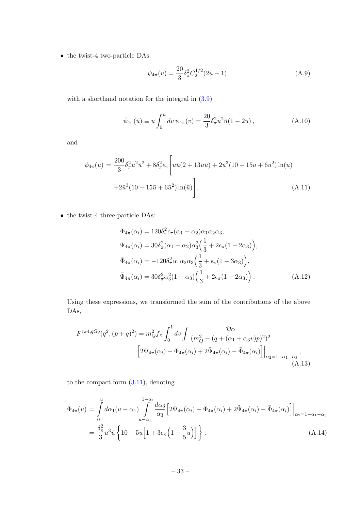$\bullet\,$  the twist-4 two-particle DAs:

$$
\psi_{4\pi}(u) = \frac{20}{3} \delta_{\pi}^2 C_2^{1/2} (2u - 1) \,, \tag{A.9}
$$

with a shorthand notation for the integral in  $(3.9)$ 

$$
\bar{\psi}_{4\pi}(u) \equiv u \int_0^u dv \, \psi_{4\pi}(v) = \frac{20}{3} \delta_\pi^2 u^2 \bar{u} (1 - 2u) , \qquad (A.10)
$$

and

$$
\phi_{4\pi}(u) = \frac{200}{3} \delta_{\pi}^2 u^2 \bar{u}^2 + 8\delta_{\pi}^2 \epsilon_{\pi} \left[ u\bar{u}(2 + 13u\bar{u}) + 2u^3(10 - 15u + 6u^2) \ln(u) + 2\bar{u}^3(10 - 15\bar{u} + 6\bar{u}^2) \ln(\bar{u}) \right].
$$
\n(A.11)

 $\bullet\,$  the twist-4 three-particle DAs:

$$
\Phi_{4\pi}(\alpha_i) = 120 \delta_{\pi}^2 \epsilon_{\pi} (\alpha_1 - \alpha_2) \alpha_1 \alpha_2 \alpha_3,
$$
  
\n
$$
\Psi_{4\pi}(\alpha_i) = 30 \delta_{\pi}^2 (\alpha_1 - \alpha_2) \alpha_3^2 \left(\frac{1}{3} + 2\epsilon_{\pi} (1 - 2\alpha_3)\right),
$$
  
\n
$$
\tilde{\Phi}_{4\pi}(\alpha_i) = -120 \delta_{\pi}^2 \alpha_1 \alpha_2 \alpha_3 \left(\frac{1}{3} + \epsilon_{\pi} (1 - 3\alpha_3)\right),
$$
  
\n
$$
\tilde{\Psi}_{4\pi}(\alpha_i) = 30 \delta_{\pi}^2 \alpha_3^2 (1 - \alpha_3) \left(\frac{1}{3} + 2\epsilon_{\pi} (1 - 2\alpha_3)\right).
$$
\n(A.12)

Using these expressions, we transformed the sum of the contributions of the above DAs,

$$
F^{\text{tw}4,\bar{q}Gq}(q^2,(p+q)^2) = m_Q^2 f_\pi \int_0^1 dv \int \frac{\mathcal{D}\alpha}{(m_Q^2 - (q + (\alpha_1 + \alpha_3 v)p)^2)^2} \left[2\Psi_{4\pi}(\alpha_i) - \Phi_{4\pi}(\alpha_i) + 2\tilde{\Psi}_{4\pi}(\alpha_i) - \tilde{\Phi}_{4\pi}(\alpha_i)\right]\Big|_{\alpha_2=1-\alpha_1-\alpha_3},
$$
\n(A.13)

to the compact form [\(3.11\)](#page-8-0), denoting

$$
\overline{\Phi}_{4\pi}(u) = \int_{0}^{u} d\alpha_{1}(u - \alpha_{1}) \int_{u - \alpha_{1}}^{1 - \alpha_{1}} \frac{d\alpha_{3}}{\alpha_{3}} \left[ 2\Psi_{4\pi}(\alpha_{i}) - \Phi_{4\pi}(\alpha_{i}) + 2\tilde{\Psi}_{4\pi}(\alpha_{i}) - \tilde{\Phi}_{4\pi}(\alpha_{i}) \right] \Big|_{\alpha_{2} = 1 - \alpha_{1} - \alpha_{3}}
$$
\n
$$
= \frac{\delta_{\pi}^{2}}{3} u^{3} \bar{u} \left\{ 10 - 5u \left[ 1 + 3\epsilon_{\pi} \left( 1 - \frac{3}{5} u \right) \right] \right\}.
$$
\n(A.14)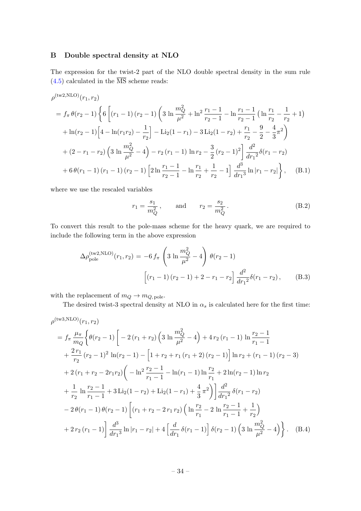# <span id="page-34-0"></span>B Double spectral density at NLO

The expression for the twist-2 part of the NLO double spectral density in the sum rule  $(4.5)$  calculated in the  $\overline{\text{MS}}$  scheme reads:

$$
\rho^{(\text{tw2,NLO})}(r_1, r_2)
$$
\n
$$
= f_{\pi} \theta(r_2 - 1) \left\{ 6 \left[ (r_1 - 1) (r_2 - 1) \left( 3 \ln \frac{m_Q^2}{\mu^2} + \ln^2 \frac{r_1 - 1}{r_2 - 1} - \ln \frac{r_1 - 1}{r_2 - 1} \left( \ln \frac{r_1}{r_2} - \frac{1}{r_2} + 1 \right) \right. \right.\n\left. + \ln(r_2 - 1) \left[ 4 - \ln(r_1 r_2) - \frac{1}{r_2} \right] - \text{Li}_2(1 - r_1) - 3 \text{Li}_2(1 - r_2) + \frac{r_1}{r_2} - \frac{9}{2} - \frac{4}{3} \pi^2 \right) \right.\n\left. + (2 - r_1 - r_2) \left( 3 \ln \frac{m_Q^2}{\mu^2} - 4 \right) - r_2 (r_1 - 1) \ln r_2 - \frac{3}{2} (r_2 - 1)^2 \right] \frac{d^2}{dr_1^2} \delta(r_1 - r_2) \right.\n\left. + 6 \theta(r_1 - 1) (r_1 - 1) (r_2 - 1) \left[ 2 \ln \frac{r_1 - 1}{r_2 - 1} - \ln \frac{r_1}{r_2} + \frac{1}{r_2} - 1 \right] \frac{d^3}{dr_1^3} \ln|r_1 - r_2| \right\}, \quad (B.1)
$$

where we use the rescaled variables

<span id="page-34-1"></span>
$$
r_1 = \frac{s_1}{m_Q^2}
$$
, and  $r_2 = \frac{s_2}{m_Q^2}$ . (B.2)

To convert this result to the pole-mass scheme for the heavy quark, we are required to include the following term in the above expression

$$
\Delta \rho_{\text{pole}}^{(\text{tw2,NLO})}(r_1, r_2) = -6 f_\pi \left( 3 \ln \frac{m_Q^2}{\mu^2} - 4 \right) \theta(r_2 - 1)
$$

$$
\left[ (r_1 - 1)(r_2 - 1) + 2 - r_1 - r_2 \right] \frac{d^2}{dr_1^2} \delta(r_1 - r_2), \qquad (B.3)
$$

with the replacement of  $m_Q \to m_{Q, \text{ pole}}$ .

<span id="page-34-2"></span>The desired twist-3 spectral density at NLO in  $\alpha_s$  is calculated here for the first time:

$$
\rho^{(\text{tw3,NLO})}(r_1, r_2)
$$
\n
$$
= f_{\pi} \frac{\mu_{\pi}}{m_Q} \Biggl\{ \theta(r_2 - 1) \Biggl[ -2(r_1 + r_2) \Bigl( 3 \ln \frac{m_Q^2}{\mu^2} - 4 \Bigr) + 4r_2(r_1 - 1) \ln \frac{r_2 - 1}{r_1 - 1} + \frac{2r_1}{r_2}(r_2 - 1)^2 \ln(r_2 - 1) - \Bigl[ 1 + r_2 + r_1(r_1 + 2)(r_2 - 1) \Bigr] \ln r_2 + (r_1 - 1)(r_2 - 3) + 2(r_1 + r_2 - 2r_1r_2) \Biggl( -\ln^2 \frac{r_2 - 1}{r_1 - 1} - \ln(r_1 - 1) \ln \frac{r_2}{r_1} + 2 \ln(r_2 - 1) \ln r_2 + \frac{1}{r_2} \ln \frac{r_2 - 1}{r_1 - 1} + 3 \text{Li}_2(1 - r_2) + \text{Li}_2(1 - r_1) + \frac{4}{3} \pi^2 \Biggr) \Biggr] \frac{d^2}{dr_1^2} \delta(r_1 - r_2)
$$
\n
$$
-2 \theta(r_1 - 1) \theta(r_2 - 1) \Biggl[ (r_1 + r_2 - 2r_1r_2) \Bigl( \ln \frac{r_2}{r_1} - 2 \ln \frac{r_2 - 1}{r_1 - 1} + \frac{1}{r_2} \Bigr) + 2r_2(r_1 - 1) \Biggr] \frac{d^3}{dr_1^3} \ln|r_1 - r_2| + 4 \Biggl[ \frac{d}{dr_1} \delta(r_1 - 1) \Biggr] \delta(r_2 - 1) \Biggl( 3 \ln \frac{m_Q^2}{\mu^2} - 4 \Biggr) \Biggr\}.
$$
 (B.4)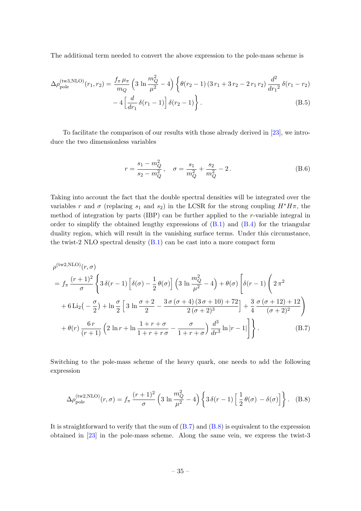The additional term needed to convert the above expression to the pole-mass scheme is

$$
\Delta \rho_{\text{pole}}^{(\text{tw3,NLO})}(r_1, r_2) = \frac{f_\pi \mu_\pi}{m_Q} \left( 3 \ln \frac{m_Q^2}{\mu^2} - 4 \right) \left\{ \theta(r_2 - 1) \left( 3r_1 + 3r_2 - 2r_1 r_2 \right) \frac{d^2}{dr_1^2} \delta(r_1 - r_2) \right. \\ \left. - 4 \left[ \frac{d}{dr_1} \delta(r_1 - 1) \right] \delta(r_2 - 1) \right\} . \tag{B.5}
$$

To facilitate the comparison of our results with those already derived in [\[23\]](#page-39-6), we introduce the two dimensionless variables

<span id="page-35-0"></span>
$$
r = \frac{s_1 - m_Q^2}{s_2 - m_Q^2}, \quad \sigma = \frac{s_1}{m_Q^2} + \frac{s_2}{m_Q^2} - 2. \tag{B.6}
$$

Taking into account the fact that the double spectral densities will be integrated over the variables r and  $\sigma$  (replacing s<sub>1</sub> and s<sub>2</sub>) in the LCSR for the strong coupling  $H^*H\pi$ , the method of integration by parts (IBP) can be further applied to the r-variable integral in order to simplify the obtained lengthy expressions of  $(B.1)$  and  $(B.4)$  for the triangular duality region, which will result in the vanishing surface terms. Under this circumstance, the twist-2 NLO spectral density [\(B.1\)](#page-34-1) can be cast into a more compact form

$$
\rho^{(\text{tw2,NLO})}(r,\sigma) = f_{\pi} \frac{(r+1)^2}{\sigma} \left\{ 3\,\delta(r-1) \left[ \delta(\sigma) - \frac{1}{2} \,\theta(\sigma) \right] \left( 3 \ln \frac{m_Q^2}{\mu^2} - 4 \right) + \theta(\sigma) \left[ \delta(r-1) \left( 2\,\pi^2 + 6 \,\text{Li}_2\left(-\frac{\sigma}{2}\right) + \ln \frac{\sigma}{2} \left[ 3 \ln \frac{\sigma+2}{2} - \frac{3\,\sigma\,(\sigma+4)(3\,\sigma+10) + 72}{2(\sigma+2)^3} \right] + \frac{3}{4} \frac{\sigma\,(\sigma+12) + 12}{(\sigma+2)^2} \right) \right\} + \theta(r) \frac{6\,r}{(r+1)} \left( 2 \ln r + \ln \frac{1+r+\sigma}{1+r+r\sigma} - \frac{\sigma}{1+r+\sigma} \right) \frac{d^3}{dr^3} \ln|r-1| \right\}. \tag{B.7}
$$

Switching to the pole-mass scheme of the heavy quark, one needs to add the following expression

<span id="page-35-1"></span>
$$
\Delta \rho_{\rm pole}^{\rm (tw2,NLO)}(r,\sigma) = f_\pi \frac{(r+1)^2}{\sigma} \left(3 \ln \frac{m_Q^2}{\mu^2} - 4\right) \left\{3\,\delta(r-1) \left[\frac{1}{2}\,\theta(\sigma) \, - \delta(\sigma)\right]\right\}.
$$
 (B.8)

It is straightforward to verify that the sum of  $(B.7)$  and  $(B.8)$  is equivalent to the expression obtained in [\[23\]](#page-39-6) in the pole-mass scheme. Along the same vein, we express the twist-3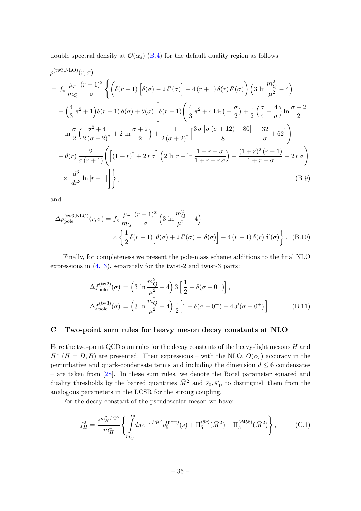double spectral density at  $\mathcal{O}(\alpha_s)$  [\(B.4\)](#page-34-2) for the default duality region as follows

$$
\rho^{(\text{tw3,NLO})}(r,\sigma)
$$
\n
$$
= f_{\pi} \frac{\mu_{\pi}}{m_Q} \frac{(r+1)^2}{\sigma} \left\{ \left( \delta(r-1) \left[ \delta(\sigma) - 2 \delta'(\sigma) \right] + 4 (r+1) \delta(r) \delta'(\sigma) \right) \left( 3 \ln \frac{m_Q^2}{\mu^2} - 4 \right) \right\}
$$
\n
$$
+ \left( \frac{4}{3} \pi^2 + 1 \right) \delta(r-1) \delta(\sigma) + \theta(\sigma) \left[ \delta(r-1) \left( \frac{4}{3} \pi^2 + 4 \text{Li}_2\left( -\frac{\sigma}{2} \right) + \frac{1}{2} \left( \frac{\sigma}{4} - \frac{4}{\sigma} \right) \ln \frac{\sigma + 2}{2} \right) \right\}
$$
\n
$$
+ \ln \frac{\sigma}{2} \left( \frac{\sigma^2 + 4}{2 (\sigma + 2)^2} + 2 \ln \frac{\sigma + 2}{2} \right) + \frac{1}{2 (\sigma + 2)^2} \left[ \frac{3 \sigma \left[ \sigma (\sigma + 12) + 80 \right]}{8} + \frac{32}{\sigma} + 62 \right] \right)
$$
\n
$$
+ \theta(r) \frac{2}{\sigma (r+1)} \left( \left[ (1+r)^2 + 2r \sigma \right] \left( 2 \ln r + \ln \frac{1+r+\sigma}{1+r+r\sigma} \right) - \frac{(1+r)^2 (r-1)}{1+r+\sigma} - 2r \sigma \right)
$$
\n
$$
\times \frac{d^3}{dr^3} \ln |r-1| \right] \right\}, \tag{B.9}
$$

and

$$
\Delta \rho_{\text{pole}}^{(\text{tw3,NLO})}(r,\sigma) = f_{\pi} \frac{\mu_{\pi}}{m_Q} \frac{(r+1)^2}{\sigma} \left( 3 \ln \frac{m_Q^2}{\mu^2} - 4 \right) \times \left\{ \frac{1}{2} \delta(r-1) \left[ \theta(\sigma) + 2 \delta'(\sigma) - \delta(\sigma) \right] - 4 (r+1) \delta(r) \delta'(\sigma) \right\}. \tag{B.10}
$$

Finally, for completeness we present the pole-mass scheme additions to the final NLO expressions in [\(4.13\)](#page-16-2), separately for the twist-2 and twist-3 parts:

<span id="page-36-1"></span>
$$
\Delta f_{\text{pole}}^{(\text{tw2})}(\sigma) = \left(3 \ln \frac{m_Q^2}{\mu^2} - 4\right) 3 \left[\frac{1}{2} - \delta(\sigma - 0^+)\right],
$$
  

$$
\Delta f_{\text{pole}}^{(\text{tw3})}(\sigma) = \left(3 \ln \frac{m_Q^2}{\mu^2} - 4\right) \frac{1}{2} \left[1 - \delta(\sigma - 0^+) - 4 \delta'(\sigma - 0^+)\right].
$$
 (B.11)

## <span id="page-36-0"></span>C Two-point sum rules for heavy meson decay constants at NLO

Here the two-point QCD sum rules for the decay constants of the heavy-light mesons  $H$  and  $H^*$  ( $H = D, B$ ) are presented. Their expressions – with the NLO,  $O(\alpha_s)$  accuracy in the perturbative and quark-condensate terms and including the dimension  $d \leq 6$  condensates – are taken from [\[28\]](#page-39-11). In these sum rules, we denote the Borel parameter squared and duality thresholds by the barred quantities  $\bar{M}^2$  and  $\bar{s}_0, \bar{s}_0^*$ , to distinguish them from the analogous parameters in the LCSR for the strong coupling.

For the decay constant of the pseudoscalar meson we have:

$$
f_H^2 = \frac{e^{m_H^2/\bar{M}^2}}{m_H^4} \left\{ \int\limits_{m_Q^2}^{\bar{s}_0} ds \, e^{-s/\bar{M}^2} \rho_5^{\text{(pert)}}(s) + \Pi_5^{\langle \bar{q}q \rangle}(\bar{M}^2) + \Pi_5^{\text{(d456)}}(\bar{M}^2) \right\},\tag{C.1}
$$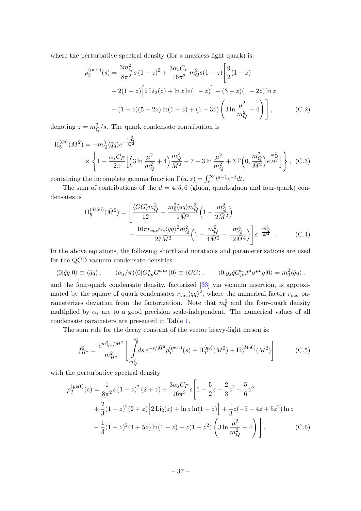where the perturbative spectral density (for a massless light quark) is:

$$
\rho_5^{\text{(pert)}}(s) = \frac{3m_Q^2}{8\pi^2} s (1-z)^2 + \frac{3\alpha_s C_F}{16\pi^3} m_Q^2 s (1-z) \left[ \frac{9}{2} (1-z) + 2(1-z) \left[ 2 \text{Li}_2(z) + \ln z \ln(1-z) \right] + (3-z)(1-2z) \ln z - (1-z)(5-2z) \ln(1-z) + (1-3z) \left( 3 \ln \frac{\mu^2}{m_Q^2} + 4 \right) \right], \tag{C.2}
$$

denoting  $z = m_Q^2/s$ . The quark condensate contribution is

$$
\Pi_5^{\langle \bar{q}q \rangle}(\bar{M}^2) = -m_Q^3 \langle \bar{q}q \rangle e^{-\frac{m_Q^2}{\bar{M}^2}} \times \left\{ 1 - \frac{\alpha_s C_F}{2\pi} \Big[ \Big( 3 \ln \frac{\mu^2}{m_Q^2} + 4 \Big) \frac{m_Q^2}{\bar{M}^2} - 7 - 3 \ln \frac{\mu^2}{m_Q^2} + 3 \Gamma \Big( 0, \frac{m_Q^2}{\bar{M}^2} \Big) e^{\frac{m_Q^2}{\bar{M}^2}} \Big] \right\} , \quad (C.3)
$$

containing the incomplete gamma function  $\Gamma(a, z) = \int_z^{\infty} t^{a-1} e^{-t} dt$ .

The sum of contributions of the  $d = 4, 5, 6$  (gluon, quark-gluon and four-quark) condensates is

$$
\Pi_5^{(d456)}(\bar{M}^2) = \left[ \frac{\langle GG \rangle m_Q^2}{12} - \frac{m_0^2 \langle \bar{q}q \rangle m_Q^3}{2\bar{M}^2} \left( 1 - \frac{m_Q^2}{2\bar{M}^2} \right) - \frac{16\pi r_{vac} \alpha_s \langle \bar{q}q \rangle^2 m_Q^2}{27\bar{M}^2} \left( 1 - \frac{m_Q^2}{4\bar{M}^2} - \frac{m_Q^4}{12\bar{M}^4} \right) \right] e^{-\frac{m_Q^2}{\bar{M}^2}} . \tag{C.4}
$$

In the above equations, the following shorthand notations and parameterizations are used for the QCD vacuum condensate densities:

$$
\langle 0|\bar{q}q|0\rangle \equiv \langle \bar{q}q\rangle, \qquad (\alpha_s/\pi)\langle 0|G^a_{\mu\nu}G^{a\,\mu\nu}|0\rangle \equiv \langle GG\rangle, \qquad \langle 0|g_s\bar{q}G^a_{\mu\nu}t^a\sigma^{\mu\nu}q|0\rangle = m_0^2\langle \bar{q}q\rangle,
$$

and the four-quark condensate density, factorized [\[33\]](#page-40-0) via vacuum insertion, is approximated by the square of quark condensates  $r_{vac}\langle \bar{q}q\rangle^2$ , where the numerical factor  $r_{vac}$  parameterizes deviation from the factorization. Note that  $m_0^2$  and the four-quark density multiplied by  $\alpha_s$  are to a good precision scale-independent. The numerical values of all condensate parameters are presented in Table [1.](#page-18-0)

The sum rule for the decay constant of the vector heavy-light meson is:

$$
f_{H^*}^2 = \frac{e^{m_{H^*}^2/\bar{M}^2}}{m_{H^*}^2} \left[ \int\limits_{m_Q^2}^{\bar{s}_0^*} ds \, e^{-s/\bar{M}^2} \rho_T^{(\text{pert})}(s) + \Pi_T^{\langle \bar{q}q \rangle}(M^2) + \Pi_T^{(d456)}(M^2) \right],\tag{C.5}
$$

with the perturbative spectral density

$$
\rho_T^{\text{(pert)}}(s) = \frac{1}{8\pi^2} s (1-z)^2 (2+z) + \frac{3\alpha_s C_F}{16\pi^3} s \left[ 1 - \frac{5}{2} z + \frac{2}{3} z^2 + \frac{5}{6} z^3 + \frac{2}{3} (1-z)^2 (2+z) \left[ 2 \text{Li}_2(z) + \ln z \ln(1-z) \right] + \frac{1}{3} z (-5 - 4z + 5z^2) \ln z - \frac{1}{3} (1-z)^2 (4+5z) \ln(1-z) - z (1-z^2) \left( 3 \ln \frac{\mu^2}{m_Q^2} + 4 \right) \right], \tag{C.6}
$$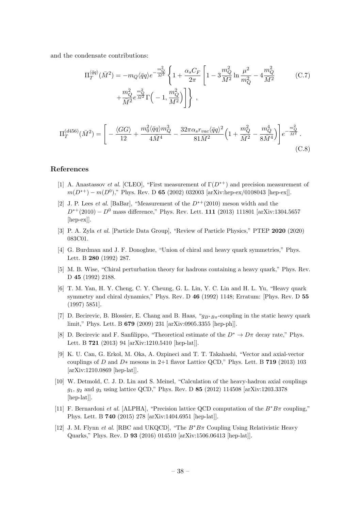and the condensate contributions:

$$
\Pi_T^{\langle \bar{q}q \rangle}(\bar{M}^2) = -m_Q \langle \bar{q}q \rangle e^{-\frac{m_Q^2}{\bar{M}^2}} \left\{ 1 + \frac{\alpha_s C_F}{2\pi} \left[ 1 - 3\frac{m_Q^2}{\bar{M}^2} \ln \frac{\mu^2}{m_Q^2} - 4\frac{m_Q^2}{\bar{M}^2} \right. \right. \tag{C.7}
$$
\n
$$
+ \frac{m_Q^2}{\bar{M}^2} e^{\frac{m_Q^2}{\bar{M}^2}} \Gamma \left( -1, \frac{m_Q^2}{\bar{M}^2} \right) \right\} \,,
$$

$$
\Pi_T^{(d456)}(\bar{M}^2) = \left[ -\frac{\langle GG \rangle}{12} + \frac{m_0^2 \langle \bar{q}q \rangle m_Q^3}{4\bar{M}^4} - \frac{32\pi \alpha_s r_{vac} \langle \bar{q}q \rangle^2}{81\bar{M}^2} \left( 1 + \frac{m_Q^2}{\bar{M}^2} - \frac{m_Q^4}{8\bar{M}^4} \right) \right] e^{-\frac{m_Q^2}{\bar{M}^2}}.
$$
\n(C.8)

## References

- <span id="page-38-0"></span>[1] A. Anastassov et al. [CLEO], "First measurement of  $\Gamma(D^{*+})$  and precision measurement of  $m(D^{*+}) - m(D^0)$ ," Phys. Rev. D 65 (2002) 032003 [arXiv:hep-ex/0108043 [hep-ex]].
- <span id="page-38-6"></span>[2] J. P. Lees *et al.* [BaBar], "Measurement of the  $D^{*+}(2010)$  meson width and the  $D^{*+}(2010) - D^0$  mass difference," Phys. Rev. Lett. 111 (2013) 111801 [arXiv:1304.5657 [hep-ex]].
- <span id="page-38-1"></span>[3] P. A. Zyla et al. [Particle Data Group], "Review of Particle Physics," PTEP 2020 (2020) 083C01.
- <span id="page-38-2"></span>[4] G. Burdman and J. F. Donoghue, "Union of chiral and heavy quark symmetries," Phys. Lett. B 280 (1992) 287.
- [5] M. B. Wise, "Chiral perturbation theory for hadrons containing a heavy quark," Phys. Rev. D 45 (1992) 2188.
- <span id="page-38-3"></span>[6] T. M. Yan, H. Y. Cheng, C. Y. Cheung, G. L. Lin, Y. C. Lin and H. L. Yu, "Heavy quark symmetry and chiral dynamics," Phys. Rev. D 46 (1992) 1148; Erratum: [Phys. Rev. D 55 (1997) 5851].
- <span id="page-38-4"></span>[7] D. Becirevic, B. Blossier, E. Chang and B. Haas, " $q_{B*B_{\pi}}$ -coupling in the static heavy quark limit," Phys. Lett. B 679 (2009) 231 [arXiv:0905.3355 [hep-ph]].
- <span id="page-38-7"></span>[8] D. Becirevic and F. Sanfilippo, "Theoretical estimate of the  $D^* \to D\pi$  decay rate," Phys. Lett. B 721 (2013) 94 [arXiv:1210.5410 [hep-lat]].
- <span id="page-38-8"></span>[9] K. U. Can, G. Erkol, M. Oka, A. Ozpineci and T. T. Takahashi, "Vector and axial-vector couplings of D and D∗ mesons in 2+1 flavor Lattice QCD," Phys. Lett. B 719 (2013) 103 [arXiv:1210.0869 [hep-lat]].
- <span id="page-38-9"></span>[10] W. Detmold, C. J. D. Lin and S. Meinel, "Calculation of the heavy-hadron axial couplings  $g_1, g_2$  and  $g_3$  using lattice QCD," Phys. Rev. D 85 (2012) 114508 [arXiv:1203.3378 [hep-lat]].
- <span id="page-38-10"></span>[11] F. Bernardoni *et al.* [ALPHA], "Precision lattice QCD computation of the  $B^*B\pi$  coupling," Phys. Lett. B 740 (2015) 278 [arXiv:1404.6951 [hep-lat]].
- <span id="page-38-5"></span>[12] J. M. Flynn et al. [RBC and UKQCD], "The  $B^*B\pi$  Coupling Using Relativistic Heavy Quarks," Phys. Rev. D 93 (2016) 014510 [arXiv:1506.06413 [hep-lat]].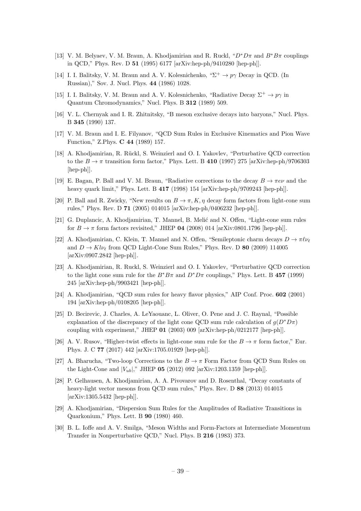- <span id="page-39-0"></span>[13] V. M. Belyaev, V. M. Braun, A. Khodjamirian and R. Ruckl, " $D^*D\pi$  and  $B^*B\pi$  couplings in QCD," Phys. Rev. D 51 (1995) 6177 [arXiv:hep-ph/9410280 [hep-ph]].
- <span id="page-39-1"></span>[14] I. I. Balitsky, V. M. Braun and A. V. Kolesnichenko,  $\mathcal{L}^+ \to p\gamma$  Decay in QCD. (In Russian)," Sov. J. Nucl. Phys. 44 (1986) 1028.
- <span id="page-39-17"></span>[15] I. I. Balitsky, V. M. Braun and A. V. Kolesnichenko, "Radiative Decay  $\Sigma^+ \to p\gamma$  in Quantum Chromodynamics," Nucl. Phys. B 312 (1989) 509.
- <span id="page-39-2"></span>[16] V. L. Chernyak and I. R. Zhitnitsky, "B meson exclusive decays into baryons," Nucl. Phys. B 345 (1990) 137.
- <span id="page-39-3"></span>[17] V. M. Braun and I. E. Filyanov, "QCD Sum Rules in Exclusive Kinematics and Pion Wave Function," Z.Phys. C 44 (1989) 157.
- <span id="page-39-4"></span>[18] A. Khodjamirian, R. Rückl, S. Weinzierl and O. I. Yakovlev, "Perturbative QCD correction to the  $B \to \pi$  transition form factor," Phys. Lett. B 410 (1997) 275 [arXiv:hep-ph/9706303 [hep-ph]].
- <span id="page-39-16"></span>[19] E. Bagan, P. Ball and V. M. Braun, "Radiative corrections to the decay  $B \to \pi e \nu$  and the heavy quark limit," Phys. Lett. B 417 (1998) 154 [arXiv:hep-ph/9709243 [hep-ph]].
- <span id="page-39-13"></span>[20] P. Ball and R. Zwicky, "New results on  $B \to \pi, K, \eta$  decay form factors from light-cone sum rules," Phys. Rev. D 71 (2005) 014015 [arXiv:hep-ph/0406232 [hep-ph]].
- <span id="page-39-12"></span>[21] G. Duplancic, A. Khodjamirian, T. Mannel, B. Melić and N. Offen, "Light-cone sum rules for  $B \to \pi$  form factors revisited," JHEP 04 (2008) 014 [arXiv:0801.1796 [hep-ph]].
- <span id="page-39-5"></span>[22] A. Khodjamirian, C. Klein, T. Mannel and N. Offen, "Semileptonic charm decays  $D \to \pi \ell \nu_{\ell}$ and  $D \to K l \nu_{\ell}$  from QCD Light-Cone Sum Rules," Phys. Rev. D 80 (2009) 114005 [arXiv:0907.2842 [hep-ph]].
- <span id="page-39-6"></span>[23] A. Khodjamirian, R. Ruckl, S. Weinzierl and O. I. Yakovlev, "Perturbative QCD correction to the light cone sum rule for the  $B^*B\pi$  and  $D^*D\pi$  couplings," Phys. Lett. B 457 (1999) 245 [arXiv:hep-ph/9903421 [hep-ph]].
- <span id="page-39-7"></span>[24] A. Khodjamirian, "QCD sum rules for heavy flavor physics," AIP Conf. Proc. 602 (2001) 194 [arXiv:hep-ph/0108205 [hep-ph]].
- <span id="page-39-8"></span>[25] D. Becirevic, J. Charles, A. LeYaouanc, L. Oliver, O. Pene and J. C. Raynal, "Possible explanation of the discrepancy of the light cone QCD sum rule calculation of  $g(D^*D\pi)$ coupling with experiment," JHEP 01 (2003) 009 [arXiv:hep-ph/0212177 [hep-ph]].
- <span id="page-39-9"></span>[26] A. V. Rusov, "Higher-twist effects in light-cone sum rule for the  $B \to \pi$  form factor," Eur. Phys. J. C 77 (2017) 442 [arXiv:1705.01929 [hep-ph]].
- <span id="page-39-10"></span>[27] A. Bharucha, "Two-loop Corrections to the  $B \to \pi$  Form Factor from QCD Sum Rules on the Light-Cone and  $|V_{ub}|$ ," JHEP 05 (2012) 092 [arXiv:1203.1359 [hep-ph]].
- <span id="page-39-11"></span>[28] P. Gelhausen, A. Khodjamirian, A. A. Pivovarov and D. Rosenthal, "Decay constants of heavy-light vector mesons from QCD sum rules," Phys. Rev. D 88 (2013) 014015 [arXiv:1305.5432 [hep-ph]].
- <span id="page-39-14"></span>[29] A. Khodjamirian, "Dispersion Sum Rules for the Amplitudes of Radiative Transitions in Quarkonium," Phys. Lett. B 90 (1980) 460.
- <span id="page-39-15"></span>[30] B. L. Ioffe and A. V. Smilga, "Meson Widths and Form-Factors at Intermediate Momentum Transfer in Nonperturbative QCD," Nucl. Phys. B 216 (1983) 373.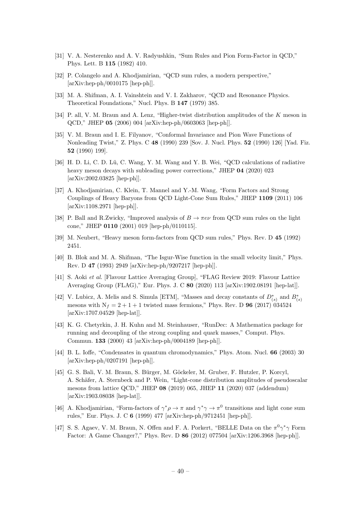- <span id="page-40-1"></span>[31] V. A. Nesterenko and A. V. Radyushkin, "Sum Rules and Pion Form-Factor in QCD," Phys. Lett. B 115 (1982) 410.
- <span id="page-40-2"></span>[32] P. Colangelo and A. Khodjamirian, "QCD sum rules, a modern perspective,"  $[\text{arXiv:hep-ph}/0010175$   $[\text{hep-ph}]]$ .
- <span id="page-40-0"></span>[33] M. A. Shifman, A. I. Vainshtein and V. I. Zakharov, "QCD and Resonance Physics. Theoretical Foundations," Nucl. Phys. B 147 (1979) 385.
- <span id="page-40-3"></span>[34] P. all, V. M. Braun and A. Lenz, "Higher-twist distribution amplitudes of the K meson in QCD," JHEP 05 (2006) 004 [arXiv:hep-ph/0603063 [hep-ph]].
- <span id="page-40-4"></span>[35] V. M. Braun and I. E. Filyanov, "Conformal Invariance and Pion Wave Functions of Nonleading Twist," Z. Phys. C 48 (1990) 239 [Sov. J. Nucl. Phys. 52 (1990) 126] [Yad. Fiz. 52 (1990) 199].
- <span id="page-40-5"></span>[36] H. D. Li, C. D. Lü, C. Wang, Y. M. Wang and Y. B. Wei, "QCD calculations of radiative heavy meson decays with subleading power corrections," JHEP 04 (2020) 023 [arXiv:2002.03825 [hep-ph]].
- <span id="page-40-6"></span>[37] A. Khodjamirian, C. Klein, T. Mannel and Y.-M. Wang, "Form Factors and Strong Couplings of Heavy Baryons from QCD Light-Cone Sum Rules," JHEP 1109 (2011) 106 [arXiv:1108.2971 [hep-ph]].
- <span id="page-40-7"></span>[38] P. Ball and R.Zwicky, "Improved analysis of  $B \to \pi e \nu$  from QCD sum rules on the light cone," JHEP 0110 (2001) 019 [hep-ph/0110115].
- <span id="page-40-8"></span>[39] M. Neubert, "Heavy meson form-factors from QCD sum rules," Phys. Rev. D 45 (1992) 2451.
- <span id="page-40-9"></span>[40] B. Blok and M. A. Shifman, "The Isgur-Wise function in the small velocity limit," Phys. Rev. D 47 (1993) 2949 [arXiv:hep-ph/9207217 [hep-ph]].
- <span id="page-40-10"></span>[41] S. Aoki et al. [Flavour Lattice Averaging Group], "FLAG Review 2019: Flavour Lattice Averaging Group (FLAG)," Eur. Phys. J. C 80 (2020) 113 [arXiv:1902.08191 [hep-lat]].
- <span id="page-40-11"></span>[42] V. Lubicz, A. Melis and S. Simula [ETM], "Masses and decay constants of  $D^*_{(s)}$  and  $B^*_{(s)}$ mesons with  $N_f = 2 + 1 + 1$  twisted mass fermions," Phys. Rev. D 96 (2017) 034524 [arXiv:1707.04529 [hep-lat]].
- <span id="page-40-13"></span>[43] K. G. Chetyrkin, J. H. Kuhn and M. Steinhauser, "RunDec: A Mathematica package for running and decoupling of the strong coupling and quark masses," Comput. Phys. Commun. 133 (2000) 43 [arXiv:hep-ph/0004189 [hep-ph]].
- <span id="page-40-12"></span>[44] B. L. Ioffe, "Condensates in quantum chromodynamics," Phys. Atom. Nucl. 66 (2003) 30 [arXiv:hep-ph/0207191 [hep-ph]].
- <span id="page-40-14"></span>[45] G. S. Bali, V. M. Braun, S. Bürger, M. Göckeler, M. Gruber, F. Hutzler, P. Korcyl, A. Schäfer, A. Sternbeck and P. Wein, "Light-cone distribution amplitudes of pseudoscalar mesons from lattice QCD," JHEP 08 (2019) 065, JHEP 11 (2020) 037 (addendum) [arXiv:1903.08038 [hep-lat]].
- <span id="page-40-15"></span>[46] A. Khodjamirian, "Form-factors of  $\gamma^*\rho \to \pi$  and  $\gamma^*\gamma \to \pi^0$  transitions and light cone sum rules," Eur. Phys. J. C 6 (1999) 477 [arXiv:hep-ph/9712451 [hep-ph]].
- [47] S. S. Agaev, V. M. Braun, N. Offen and F. A. Porkert, "BELLE Data on the  $\pi^0 \gamma^* \gamma$  Form Factor: A Game Changer?," Phys. Rev. D 86 (2012) 077504 [arXiv:1206.3968 [hep-ph]].